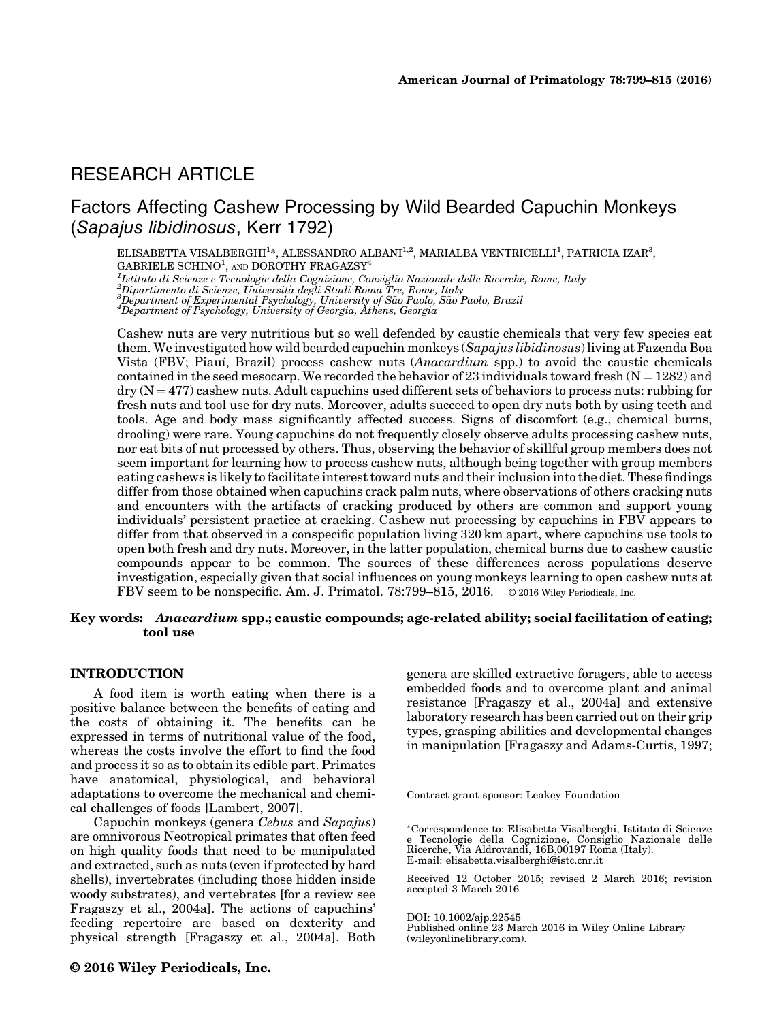# RESEARCH ARTICLE

# Factors Affecting Cashew Processing by Wild Bearded Capuchin Monkeys (Sapajus libidinosus, Kerr 1792)

ELISABETTA VISALBERGHI<sup>1</sup>\*, ALESSANDRO ALBANI<sup>1,2</sup>, MARIALBA VENTRICELLI<sup>1</sup>, PATRICIA IZAR<sup>3</sup>,  $GABRIELE SCHINO<sup>1</sup>$ , and DOROTHY FRAGAZSY<sup>4</sup>

<sup>1</sup>Istituto di Scienze e Tecnologie della Cognizione, Consiglio Nazionale delle Ricerche, Rome, Italy<br><sup>2</sup>Dipartimento di Scienze, Università degli Studi Roma Tre, Rome, Italy<br><sup>3</sup>Department of Experimental Peychology, Unive  $^3$ Department of Experimental Psychology, University of São Paolo, São Paolo, Brazil<br>"Department of Psychology, University of Georgia, Athens, Georgia

Cashew nuts are very nutritious but so well defended by caustic chemicals that very few species eat them. We investigated how wild bearded capuchin monkeys (Sapajus libidinosus) living at Fazenda Boa Vista (FBV; Piauı, Brazil) process cashew nuts (Anacardium spp.) to avoid the caustic chemicals contained in the seed mesocarp. We recorded the behavior of 23 individuals toward fresh  $(N = 1282)$  and  $\text{div}(N = 477)$  cashew nuts. Adult capuchins used different sets of behaviors to process nuts: rubbing for fresh nuts and tool use for dry nuts. Moreover, adults succeed to open dry nuts both by using teeth and tools. Age and body mass significantly affected success. Signs of discomfort (e.g., chemical burns, drooling) were rare. Young capuchins do not frequently closely observe adults processing cashew nuts, nor eat bits of nut processed by others. Thus, observing the behavior of skillful group members does not seem important for learning how to process cashew nuts, although being together with group members eating cashews is likely to facilitate interest toward nuts and their inclusion into the diet. These findings differ from those obtained when capuchins crack palm nuts, where observations of others cracking nuts and encounters with the artifacts of cracking produced by others are common and support young individuals' persistent practice at cracking. Cashew nut processing by capuchins in FBV appears to differ from that observed in a conspecific population living 320 km apart, where capuchins use tools to open both fresh and dry nuts. Moreover, in the latter population, chemical burns due to cashew caustic compounds appear to be common. The sources of these differences across populations deserve investigation, especially given that social influences on young monkeys learning to open cashew nuts at FBV seem to be nonspecific. Am. J. Primatol. 78:799–815, 2016. © 2016 Wiley Periodicals, Inc.

## Key words: Anacardium spp.; caustic compounds; age-related ability; social facilitation of eating; tool use

### INTRODUCTION

A food item is worth eating when there is a positive balance between the benefits of eating and the costs of obtaining it. The benefits can be expressed in terms of nutritional value of the food, whereas the costs involve the effort to find the food and process it so as to obtain its edible part. Primates have anatomical, physiological, and behavioral adaptations to overcome the mechanical and chemical challenges of foods [Lambert, 2007].

Capuchin monkeys (genera Cebus and Sapajus) are omnivorous Neotropical primates that often feed on high quality foods that need to be manipulated and extracted, such as nuts (even if protected by hard shells), invertebrates (including those hidden inside woody substrates), and vertebrates [for a review see Fragaszy et al., 2004a]. The actions of capuchins' feeding repertoire are based on dexterity and physical strength [Fragaszy et al., 2004a]. Both

genera are skilled extractive foragers, able to access embedded foods and to overcome plant and animal resistance [Fragaszy et al., 2004a] and extensive laboratory research has been carried out on their grip types, grasping abilities and developmental changes in manipulation [Fragaszy and Adams-Curtis, 1997;

Contract grant sponsor: Leakey Foundation

<sup>-</sup>Correspondence to: Elisabetta Visalberghi, Istituto di Scienze e Tecnologie della Cognizione, Consiglio Nazionale delle Ricerche, Via Aldrovandi, 16B,00197 Roma (Italy). E-mail: elisabetta.visalberghi@istc.cnr.it

Received 12 October 2015; revised 2 March 2016; revision accepted 3 March 2016

DOI: 10.1002/ajp.22545

Published online 23 March 2016 in Wiley Online Library (wileyonlinelibrary.com).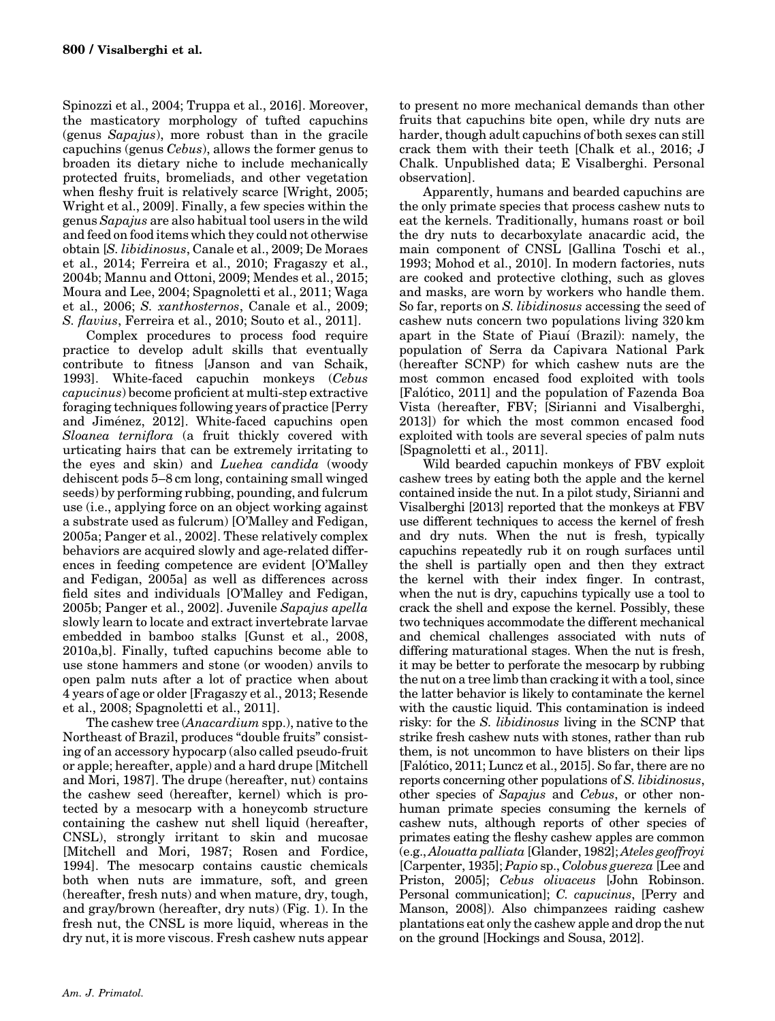Spinozzi et al., 2004; Truppa et al., 2016]. Moreover, the masticatory morphology of tufted capuchins (genus Sapajus), more robust than in the gracile capuchins (genus Cebus), allows the former genus to broaden its dietary niche to include mechanically protected fruits, bromeliads, and other vegetation when fleshy fruit is relatively scarce [Wright, 2005; Wright et al., 2009]. Finally, a few species within the genus Sapajus are also habitual tool users in the wild and feed on food items which they could not otherwise obtain [S. libidinosus, Canale et al., 2009; De Moraes et al., 2014; Ferreira et al., 2010; Fragaszy et al., 2004b; Mannu and Ottoni, 2009; Mendes et al., 2015; Moura and Lee, 2004; Spagnoletti et al., 2011; Waga et al., 2006; S. xanthosternos, Canale et al., 2009; S. flavius, Ferreira et al., 2010; Souto et al., 2011].

Complex procedures to process food require practice to develop adult skills that eventually contribute to fitness [Janson and van Schaik, 1993]. White-faced capuchin monkeys (Cebus capucinus) become proficient at multi-step extractive foraging techniques following years of practice [Perry and Jimenez, 2012]. White-faced capuchins open Sloanea terniflora (a fruit thickly covered with urticating hairs that can be extremely irritating to the eyes and skin) and Luehea candida (woody dehiscent pods 5–8 cm long, containing small winged seeds) by performing rubbing, pounding, and fulcrum use (i.e., applying force on an object working against a substrate used as fulcrum) [O'Malley and Fedigan, 2005a; Panger et al., 2002]. These relatively complex behaviors are acquired slowly and age-related differences in feeding competence are evident [O'Malley and Fedigan, 2005a] as well as differences across field sites and individuals [O'Malley and Fedigan, 2005b; Panger et al., 2002]. Juvenile Sapajus apella slowly learn to locate and extract invertebrate larvae embedded in bamboo stalks [Gunst et al., 2008, 2010a,b]. Finally, tufted capuchins become able to use stone hammers and stone (or wooden) anvils to open palm nuts after a lot of practice when about 4 years of age or older [Fragaszy et al., 2013; Resende et al., 2008; Spagnoletti et al., 2011].

The cashew tree (Anacardium spp.), native to the Northeast of Brazil, produces "double fruits" consisting of an accessory hypocarp (also called pseudo-fruit or apple; hereafter, apple) and a hard drupe [Mitchell and Mori, 1987]. The drupe (hereafter, nut) contains the cashew seed (hereafter, kernel) which is protected by a mesocarp with a honeycomb structure containing the cashew nut shell liquid (hereafter, CNSL), strongly irritant to skin and mucosae [Mitchell and Mori, 1987; Rosen and Fordice, 1994]. The mesocarp contains caustic chemicals both when nuts are immature, soft, and green (hereafter, fresh nuts) and when mature, dry, tough, and gray/brown (hereafter, dry nuts) (Fig. 1). In the fresh nut, the CNSL is more liquid, whereas in the dry nut, it is more viscous. Fresh cashew nuts appear

to present no more mechanical demands than other fruits that capuchins bite open, while dry nuts are harder, though adult capuchins of both sexes can still crack them with their teeth [Chalk et al., 2016; J Chalk. Unpublished data; E Visalberghi. Personal observation].

Apparently, humans and bearded capuchins are the only primate species that process cashew nuts to eat the kernels. Traditionally, humans roast or boil the dry nuts to decarboxylate anacardic acid, the main component of CNSL [Gallina Toschi et al., 1993; Mohod et al., 2010]. In modern factories, nuts are cooked and protective clothing, such as gloves and masks, are worn by workers who handle them. So far, reports on S. libidinosus accessing the seed of cashew nuts concern two populations living 320 km apart in the State of Piauı (Brazil): namely, the population of Serra da Capivara National Park (hereafter SCNP) for which cashew nuts are the most common encased food exploited with tools [Falotico, 2011] and the population of Fazenda Boa Vista (hereafter, FBV; [Sirianni and Visalberghi, 2013]) for which the most common encased food exploited with tools are several species of palm nuts [Spagnoletti et al., 2011].

Wild bearded capuchin monkeys of FBV exploit cashew trees by eating both the apple and the kernel contained inside the nut. In a pilot study, Sirianni and Visalberghi [2013] reported that the monkeys at FBV use different techniques to access the kernel of fresh and dry nuts. When the nut is fresh, typically capuchins repeatedly rub it on rough surfaces until the shell is partially open and then they extract the kernel with their index finger. In contrast, when the nut is dry, capuchins typically use a tool to crack the shell and expose the kernel. Possibly, these two techniques accommodate the different mechanical and chemical challenges associated with nuts of differing maturational stages. When the nut is fresh, it may be better to perforate the mesocarp by rubbing the nut on a tree limb than cracking it with a tool, since the latter behavior is likely to contaminate the kernel with the caustic liquid. This contamination is indeed risky: for the S. libidinosus living in the SCNP that strike fresh cashew nuts with stones, rather than rub them, is not uncommon to have blisters on their lips [Falotico, 2011; Luncz et al., 2015]. So far, there are no reports concerning other populations of S. libidinosus, other species of Sapajus and Cebus, or other nonhuman primate species consuming the kernels of cashew nuts, although reports of other species of primates eating the fleshy cashew apples are common (e.g., Alouatta palliata [Glander, 1982]; Ateles geoffroyi [Carpenter, 1935]; Papio sp., Colobus guereza [Lee and Priston, 2005]; Cebus olivaceus [John Robinson. Personal communication]; C. capucinus, [Perry and Manson, 2008]). Also chimpanzees raiding cashew plantations eat only the cashew apple and drop the nut on the ground [Hockings and Sousa, 2012].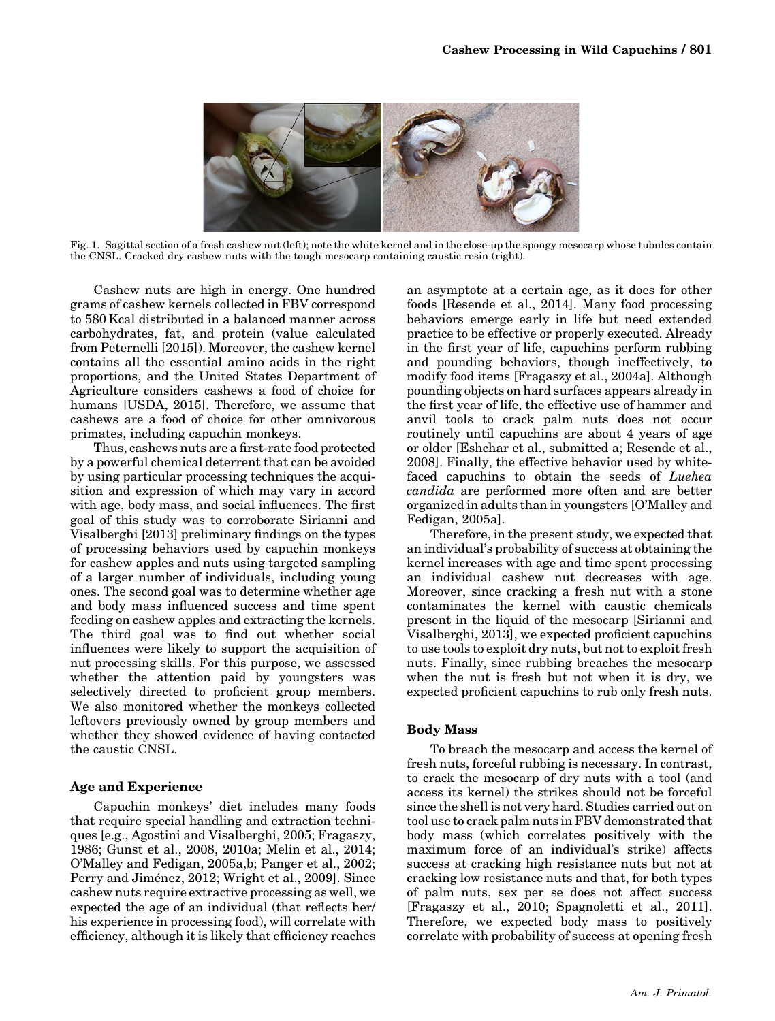

Fig. 1. Sagittal section of a fresh cashew nut (left); note the white kernel and in the close-up the spongy mesocarp whose tubules contain the CNSL. Cracked dry cashew nuts with the tough mesocarp containing caustic resin (right).

Cashew nuts are high in energy. One hundred grams of cashew kernels collected in FBV correspond to 580 Kcal distributed in a balanced manner across carbohydrates, fat, and protein (value calculated from Peternelli [2015]). Moreover, the cashew kernel contains all the essential amino acids in the right proportions, and the United States Department of Agriculture considers cashews a food of choice for humans [USDA, 2015]. Therefore, we assume that cashews are a food of choice for other omnivorous primates, including capuchin monkeys.

Thus, cashews nuts are a first-rate food protected by a powerful chemical deterrent that can be avoided by using particular processing techniques the acquisition and expression of which may vary in accord with age, body mass, and social influences. The first goal of this study was to corroborate Sirianni and Visalberghi [2013] preliminary findings on the types of processing behaviors used by capuchin monkeys for cashew apples and nuts using targeted sampling of a larger number of individuals, including young ones. The second goal was to determine whether age and body mass influenced success and time spent feeding on cashew apples and extracting the kernels. The third goal was to find out whether social influences were likely to support the acquisition of nut processing skills. For this purpose, we assessed whether the attention paid by youngsters was selectively directed to proficient group members. We also monitored whether the monkeys collected leftovers previously owned by group members and whether they showed evidence of having contacted the caustic CNSL.

### Age and Experience

Capuchin monkeys' diet includes many foods that require special handling and extraction techniques [e.g., Agostini and Visalberghi, 2005; Fragaszy, 1986; Gunst et al., 2008, 2010a; Melin et al., 2014; O'Malley and Fedigan, 2005a,b; Panger et al., 2002; Perry and Jiménez, 2012; Wright et al., 2009]. Since cashew nuts require extractive processing as well, we expected the age of an individual (that reflects her/ his experience in processing food), will correlate with efficiency, although it is likely that efficiency reaches

an asymptote at a certain age, as it does for other foods [Resende et al., 2014]. Many food processing behaviors emerge early in life but need extended practice to be effective or properly executed. Already in the first year of life, capuchins perform rubbing and pounding behaviors, though ineffectively, to modify food items [Fragaszy et al., 2004a]. Although pounding objects on hard surfaces appears already in the first year of life, the effective use of hammer and anvil tools to crack palm nuts does not occur routinely until capuchins are about 4 years of age or older [Eshchar et al., submitted a; Resende et al., 2008]. Finally, the effective behavior used by whitefaced capuchins to obtain the seeds of Luehea candida are performed more often and are better organized in adults than in youngsters [O'Malley and Fedigan, 2005a].

Therefore, in the present study, we expected that an individual's probability of success at obtaining the kernel increases with age and time spent processing an individual cashew nut decreases with age. Moreover, since cracking a fresh nut with a stone contaminates the kernel with caustic chemicals present in the liquid of the mesocarp [Sirianni and Visalberghi, 2013], we expected proficient capuchins to use tools to exploit dry nuts, but not to exploit fresh nuts. Finally, since rubbing breaches the mesocarp when the nut is fresh but not when it is dry, we expected proficient capuchins to rub only fresh nuts.

### Body Mass

To breach the mesocarp and access the kernel of fresh nuts, forceful rubbing is necessary. In contrast, to crack the mesocarp of dry nuts with a tool (and access its kernel) the strikes should not be forceful since the shell is not very hard. Studies carried out on tool use to crack palm nuts in FBV demonstrated that body mass (which correlates positively with the maximum force of an individual's strike) affects success at cracking high resistance nuts but not at cracking low resistance nuts and that, for both types of palm nuts, sex per se does not affect success [Fragaszy et al., 2010; Spagnoletti et al., 2011]. Therefore, we expected body mass to positively correlate with probability of success at opening fresh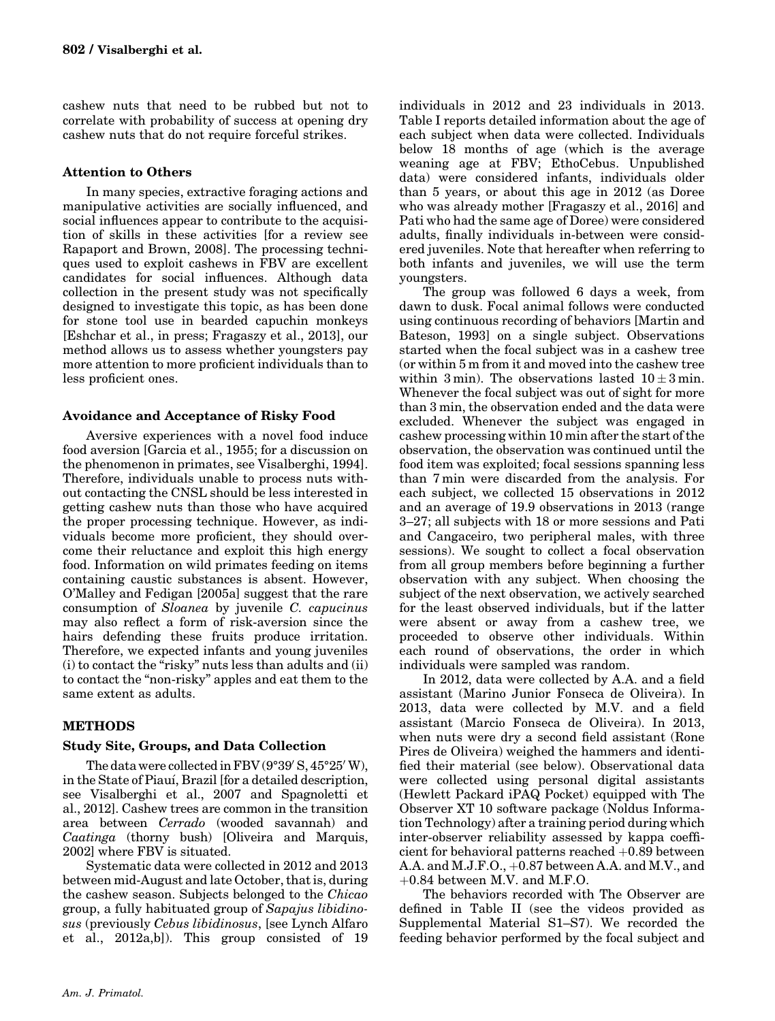cashew nuts that need to be rubbed but not to correlate with probability of success at opening dry cashew nuts that do not require forceful strikes.

# Attention to Others

In many species, extractive foraging actions and manipulative activities are socially influenced, and social influences appear to contribute to the acquisition of skills in these activities [for a review see Rapaport and Brown, 2008]. The processing techniques used to exploit cashews in FBV are excellent candidates for social influences. Although data collection in the present study was not specifically designed to investigate this topic, as has been done for stone tool use in bearded capuchin monkeys [Eshchar et al., in press; Fragaszy et al., 2013], our method allows us to assess whether youngsters pay more attention to more proficient individuals than to less proficient ones.

# Avoidance and Acceptance of Risky Food

Aversive experiences with a novel food induce food aversion [Garcia et al., 1955; for a discussion on the phenomenon in primates, see Visalberghi, 1994]. Therefore, individuals unable to process nuts without contacting the CNSL should be less interested in getting cashew nuts than those who have acquired the proper processing technique. However, as individuals become more proficient, they should overcome their reluctance and exploit this high energy food. Information on wild primates feeding on items containing caustic substances is absent. However, O'Malley and Fedigan [2005a] suggest that the rare consumption of Sloanea by juvenile C. capucinus may also reflect a form of risk-aversion since the hairs defending these fruits produce irritation. Therefore, we expected infants and young juveniles (i) to contact the "risky" nuts less than adults and (ii) to contact the "non-risky" apples and eat them to the same extent as adults.

# **METHODS**

# Study Site, Groups, and Data Collection

The data were collected in FBV ( $9°39'$  S,  $45°25'$  W), in the State of Piauı, Brazil [for a detailed description, see Visalberghi et al., 2007 and Spagnoletti et al., 2012]. Cashew trees are common in the transition area between Cerrado (wooded savannah) and Caatinga (thorny bush) [Oliveira and Marquis, 2002] where FBV is situated.

Systematic data were collected in 2012 and 2013 between mid-August and late October, that is, during the cashew season. Subjects belonged to the Chicao group, a fully habituated group of Sapajus libidinosus (previously Cebus libidinosus, [see Lynch Alfaro et al., 2012a,b]). This group consisted of 19

individuals in 2012 and 23 individuals in 2013. Table I reports detailed information about the age of each subject when data were collected. Individuals below 18 months of age (which is the average weaning age at FBV; EthoCebus. Unpublished data) were considered infants, individuals older than 5 years, or about this age in 2012 (as Doree who was already mother [Fragaszy et al., 2016] and Pati who had the same age of Doree) were considered adults, finally individuals in-between were considered juveniles. Note that hereafter when referring to both infants and juveniles, we will use the term youngsters.

The group was followed 6 days a week, from dawn to dusk. Focal animal follows were conducted using continuous recording of behaviors [Martin and Bateson, 1993] on a single subject. Observations started when the focal subject was in a cashew tree (or within 5 m from it and moved into the cashew tree within 3 min). The observations lasted  $10 \pm 3$  min. Whenever the focal subject was out of sight for more than 3 min, the observation ended and the data were excluded. Whenever the subject was engaged in cashew processing within 10 min after the start of the observation, the observation was continued until the food item was exploited; focal sessions spanning less than 7 min were discarded from the analysis. For each subject, we collected 15 observations in 2012 and an average of 19.9 observations in 2013 (range 3–27; all subjects with 18 or more sessions and Pati and Cangaceiro, two peripheral males, with three sessions). We sought to collect a focal observation from all group members before beginning a further observation with any subject. When choosing the subject of the next observation, we actively searched for the least observed individuals, but if the latter were absent or away from a cashew tree, we proceeded to observe other individuals. Within each round of observations, the order in which individuals were sampled was random.

In 2012, data were collected by A.A. and a field assistant (Marino Junior Fonseca de Oliveira). In 2013, data were collected by M.V. and a field assistant (Marcio Fonseca de Oliveira). In 2013, when nuts were dry a second field assistant (Rone Pires de Oliveira) weighed the hammers and identified their material (see below). Observational data were collected using personal digital assistants (Hewlett Packard iPAQ Pocket) equipped with The Observer XT 10 software package (Noldus Information Technology) after a training period during which inter-observer reliability assessed by kappa coefficient for behavioral patterns reached  $+0.89$  between A.A. and  $M.J.F.O., +0.87$  between A.A. and  $M.V.,$  and  $+0.84$  between M.V. and M.F.O.

The behaviors recorded with The Observer are defined in Table II (see the videos provided as Supplemental Material S1–S7). We recorded the feeding behavior performed by the focal subject and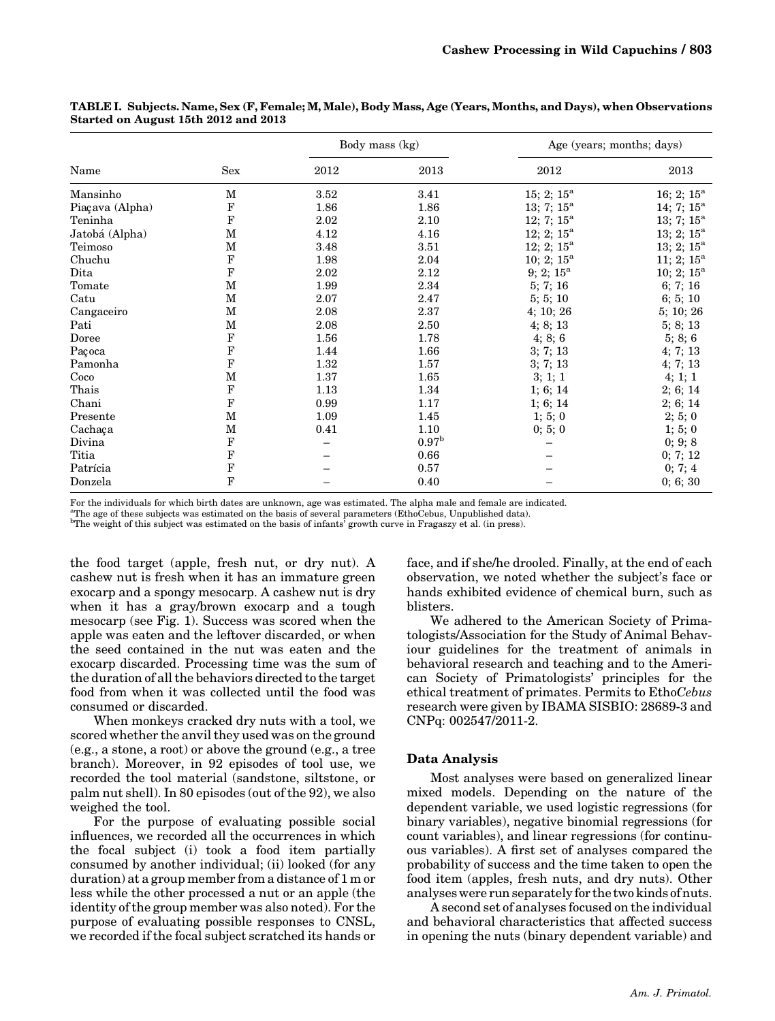|                 |              |      | Body mass (kg)    |                          | Age (years; months; days) |
|-----------------|--------------|------|-------------------|--------------------------|---------------------------|
| Name            | Sex          | 2012 | 2013              | 2012                     | 2013                      |
| Mansinho        | M            | 3.52 | 3.41              | 15; 2; $15^{\circ}$      | 16; 2; $15^{\circ}$       |
| Piaçava (Alpha) | $\mathbf F$  | 1.86 | 1.86              | 13; 7; $15^{\circ}$      | 14; 7; $15^{\circ}$       |
| Teninha         | $\mathbf F$  | 2.02 | 2.10              | 12; 7; $15^{\circ}$      | 13; 7; $15^{\circ}$       |
| Jatobá (Alpha)  | $\mathbf{M}$ | 4.12 | 4.16              | $12; 2; 15^{\mathrm{a}}$ | $13; 2; 15^a$             |
| Teimoso         | М            | 3.48 | 3.51              | 12; 2; $15^{\circ}$      | 13; 2; $15^{\circ}$       |
| Chuchu          | F            | 1.98 | 2.04              | 10; 2; $15^{\circ}$      | $11; 2; 15^{\circ}$       |
| Dita            | $\mathbf F$  | 2.02 | 2.12              | $9; 2; 15^a$             | $10; 2; 15^{\mathrm{a}}$  |
| Tomate          | М            | 1.99 | 2.34              | 5; 7; 16                 | 6; 7; 16                  |
| Catu            | $\mathbf M$  | 2.07 | 2.47              | 5; 5; 10                 | 6; 5; 10                  |
| Cangaceiro      | М            | 2.08 | 2.37              | 4; 10; 26                | 5; 10; 26                 |
| Pati            | М            | 2.08 | 2.50              | 4; 8; 13                 | 5; 8; 13                  |
| Doree           | F            | 1.56 | 1.78              | 4; 8; 6                  | 5; 8; 6                   |
| Paçoca          | $\mathbf F$  | 1.44 | 1.66              | 3; 7; 13                 | 4; 7; 13                  |
| Pamonha         | $\mathbf F$  | 1.32 | 1.57              | 3; 7; 13                 | 4; 7; 13                  |
| Coco            | М            | 1.37 | 1.65              | 3; 1; 1                  | 4; 1; 1                   |
| Thais           | $\mathbf F$  | 1.13 | 1.34              | 1; 6; 14                 | 2; 6; 14                  |
| Chani           | $\mathbf F$  | 0.99 | 1.17              | 1; 6; 14                 | 2; 6; 14                  |
| Presente        | $\mathbf M$  | 1.09 | 1.45              | 1; 5; 0                  | 2; 5; 0                   |
| Cachaça         | М            | 0.41 | 1.10              | 0; 5; 0                  | 1; 5; 0                   |
| Divina          | F            |      | 0.97 <sup>b</sup> |                          | 0; 9; 8                   |
| Titia           | $\mathbf F$  |      | 0.66              |                          | 0; 7; 12                  |
| Patrícia        | $\mathbf F$  |      | 0.57              |                          | 0; 7; 4                   |
| Donzela         | $\mathbf F$  |      | 0.40              |                          | 0; 6; 30                  |

TABLE I. Subjects. Name, Sex (F, Female; M, Male), Body Mass, Age (Years, Months, and Days), when Observations Started on August 15th 2012 and 2013

For the individuals for which birth dates are unknown, age was estimated. The alpha male and female are indicated.

a The age of these subjects was estimated on the basis of several parameters (EthoCebus, Unpublished data).

<sup>b</sup>The weight of this subject was estimated on the basis of infants<sup>2</sup> growth curve in Fragaszy et al. (in press).

the food target (apple, fresh nut, or dry nut). A cashew nut is fresh when it has an immature green exocarp and a spongy mesocarp. A cashew nut is dry when it has a gray/brown exocarp and a tough mesocarp (see Fig. 1). Success was scored when the apple was eaten and the leftover discarded, or when the seed contained in the nut was eaten and the exocarp discarded. Processing time was the sum of the duration of all the behaviors directed to the target food from when it was collected until the food was consumed or discarded.

When monkeys cracked dry nuts with a tool, we scored whether the anvil they used was on the ground (e.g., a stone, a root) or above the ground (e.g., a tree branch). Moreover, in 92 episodes of tool use, we recorded the tool material (sandstone, siltstone, or palm nut shell). In 80 episodes (out of the 92), we also weighed the tool.

For the purpose of evaluating possible social influences, we recorded all the occurrences in which the focal subject (i) took a food item partially consumed by another individual; (ii) looked (for any duration) at a group member from a distance of 1 m or less while the other processed a nut or an apple (the identity of the group member was also noted). For the purpose of evaluating possible responses to CNSL, we recorded if the focal subject scratched its hands or face, and if she/he drooled. Finally, at the end of each observation, we noted whether the subject's face or hands exhibited evidence of chemical burn, such as blisters.

We adhered to the American Society of Primatologists/Association for the Study of Animal Behaviour guidelines for the treatment of animals in behavioral research and teaching and to the American Society of Primatologists' principles for the ethical treatment of primates. Permits to EthoCebus research were given by IBAMA SISBIO: 28689-3 and CNPq: 002547/2011-2.

# Data Analysis

Most analyses were based on generalized linear mixed models. Depending on the nature of the dependent variable, we used logistic regressions (for binary variables), negative binomial regressions (for count variables), and linear regressions (for continuous variables). A first set of analyses compared the probability of success and the time taken to open the food item (apples, fresh nuts, and dry nuts). Other analyses were run separately for the two kinds of nuts.

A second set of analyses focused on the individual and behavioral characteristics that affected success in opening the nuts (binary dependent variable) and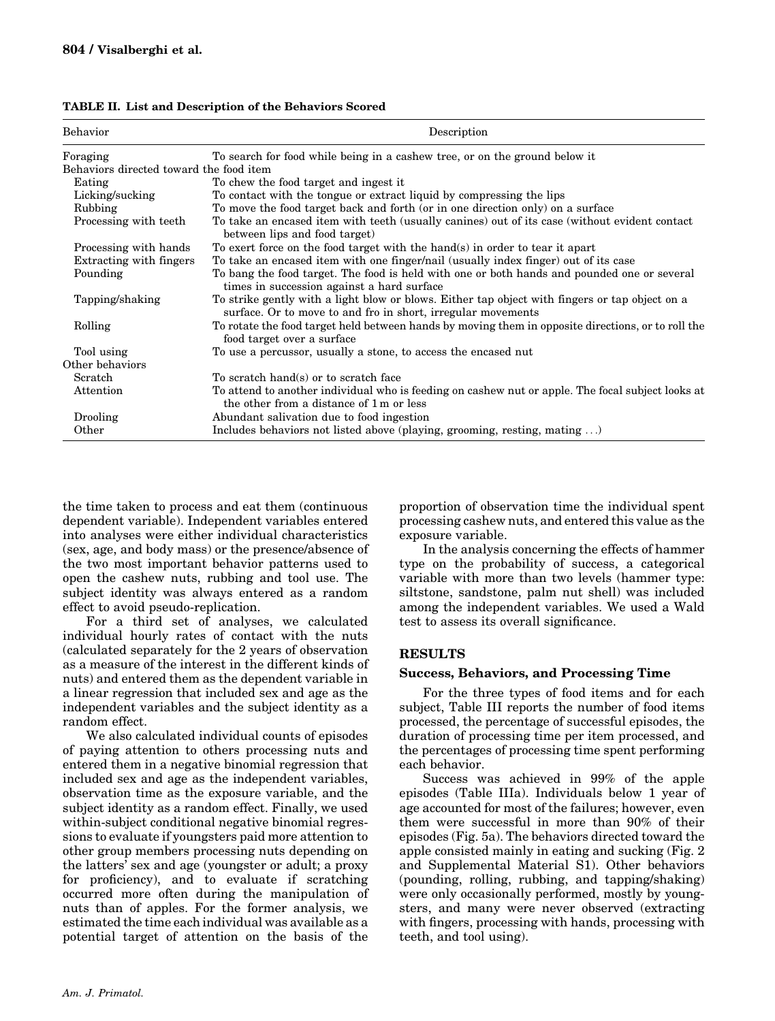| Behavior                                | Description                                                                                                                                                    |
|-----------------------------------------|----------------------------------------------------------------------------------------------------------------------------------------------------------------|
| Foraging                                | To search for food while being in a cashew tree, or on the ground below it                                                                                     |
| Behaviors directed toward the food item |                                                                                                                                                                |
| Eating                                  | To chew the food target and ingest it                                                                                                                          |
| Licking/sucking                         | To contact with the tongue or extract liquid by compressing the lips                                                                                           |
| Rubbing                                 | To move the food target back and forth (or in one direction only) on a surface                                                                                 |
| Processing with teeth.                  | To take an encased item with teeth (usually canines) out of its case (without evident contact<br>between lips and food target)                                 |
| Processing with hands                   | To exert force on the food target with the hand(s) in order to tear it apart                                                                                   |
| Extracting with fingers                 | To take an encased item with one finger/nail (usually index finger) out of its case                                                                            |
| Pounding                                | To bang the food target. The food is held with one or both hands and pounded one or several<br>times in succession against a hard surface                      |
| Tapping/shaking                         | To strike gently with a light blow or blows. Either tap object with fingers or tap object on a<br>surface. Or to move to and fro in short, irregular movements |
| Rolling                                 | To rotate the food target held between hands by moving them in opposite directions, or to roll the<br>food target over a surface                               |
| Tool using                              | To use a percussor, usually a stone, to access the encased nut                                                                                                 |
| Other behaviors                         |                                                                                                                                                                |
| Scratch                                 | To scratch hand(s) or to scratch face                                                                                                                          |
| Attention                               | To attend to another individual who is feeding on cashew nut or apple. The focal subject looks at<br>the other from a distance of 1 m or less                  |
| Drooling                                | Abundant salivation due to food ingestion                                                                                                                      |
| Other                                   | Includes behaviors not listed above (playing, grooming, resting, mating )                                                                                      |

TABLE II. List and Description of the Behaviors Scored

the time taken to process and eat them (continuous dependent variable). Independent variables entered into analyses were either individual characteristics (sex, age, and body mass) or the presence/absence of the two most important behavior patterns used to open the cashew nuts, rubbing and tool use. The subject identity was always entered as a random effect to avoid pseudo-replication.

For a third set of analyses, we calculated individual hourly rates of contact with the nuts (calculated separately for the 2 years of observation as a measure of the interest in the different kinds of nuts) and entered them as the dependent variable in a linear regression that included sex and age as the independent variables and the subject identity as a random effect.

We also calculated individual counts of episodes of paying attention to others processing nuts and entered them in a negative binomial regression that included sex and age as the independent variables, observation time as the exposure variable, and the subject identity as a random effect. Finally, we used within-subject conditional negative binomial regressions to evaluate if youngsters paid more attention to other group members processing nuts depending on the latters' sex and age (youngster or adult; a proxy for proficiency), and to evaluate if scratching occurred more often during the manipulation of nuts than of apples. For the former analysis, we estimated the time each individual was available as a potential target of attention on the basis of the

proportion of observation time the individual spent processing cashew nuts, and entered this value as the exposure variable.

In the analysis concerning the effects of hammer type on the probability of success, a categorical variable with more than two levels (hammer type: siltstone, sandstone, palm nut shell) was included among the independent variables. We used a Wald test to assess its overall significance.

### **RESULTS**

### Success, Behaviors, and Processing Time

For the three types of food items and for each subject, Table III reports the number of food items processed, the percentage of successful episodes, the duration of processing time per item processed, and the percentages of processing time spent performing each behavior.

Success was achieved in 99% of the apple episodes (Table IIIa). Individuals below 1 year of age accounted for most of the failures; however, even them were successful in more than 90% of their episodes (Fig. 5a). The behaviors directed toward the apple consisted mainly in eating and sucking (Fig. 2 and Supplemental Material S1). Other behaviors (pounding, rolling, rubbing, and tapping/shaking) were only occasionally performed, mostly by youngsters, and many were never observed (extracting with fingers, processing with hands, processing with teeth, and tool using).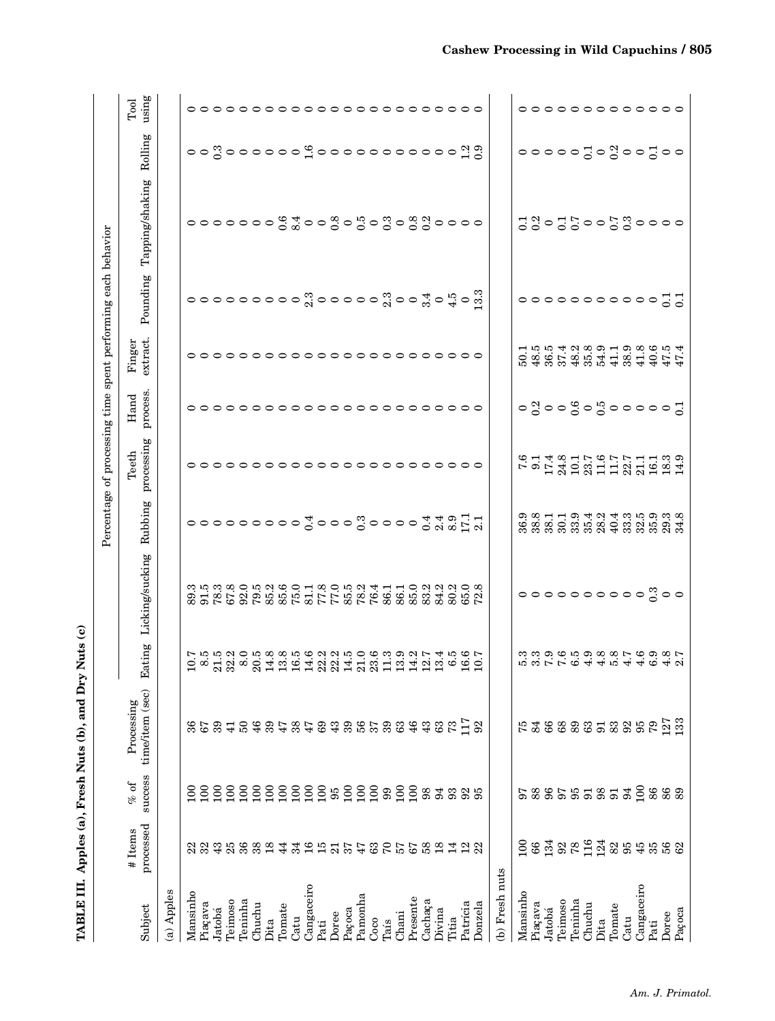| TABLE III.     |                             |                   | Apples (a), Fresh Nuts (b), and Dry | Nuts (c)                       |                                                                     |         |                                                              |                                                                                                                                 |                          |                |                              |                                                                                                                                                                                                                                        |                            |
|----------------|-----------------------------|-------------------|-------------------------------------|--------------------------------|---------------------------------------------------------------------|---------|--------------------------------------------------------------|---------------------------------------------------------------------------------------------------------------------------------|--------------------------|----------------|------------------------------|----------------------------------------------------------------------------------------------------------------------------------------------------------------------------------------------------------------------------------------|----------------------------|
|                |                             |                   |                                     |                                |                                                                     |         | Percentage of processing time spent performing each behavior |                                                                                                                                 |                          |                |                              |                                                                                                                                                                                                                                        |                            |
| Subject        | processed<br>#Items         | success<br>$%$ of | time/item (sec)<br>Processing       | Eating                         | Licking/sucking                                                     | Rubbing | processing<br>Teeth                                          | process<br>Hand                                                                                                                 | extract.<br>Finger       | Pounding       | Tapping/shaking              | Rolling                                                                                                                                                                                                                                | $\limsup$<br>$_{\rm Tool}$ |
| (a) Apples     |                             |                   |                                     |                                |                                                                     |         |                                                              |                                                                                                                                 |                          |                |                              |                                                                                                                                                                                                                                        |                            |
| Mansinho       | 22                          | $\mathbf{5}$      |                                     |                                |                                                                     |         |                                                              |                                                                                                                                 |                          |                |                              |                                                                                                                                                                                                                                        |                            |
|                | 32                          | $\tilde{5}$       | 57                                  |                                |                                                                     |         |                                                              |                                                                                                                                 |                          |                |                              |                                                                                                                                                                                                                                        |                            |
| Piaçava        |                             |                   |                                     |                                |                                                                     |         |                                                              |                                                                                                                                 |                          |                |                              |                                                                                                                                                                                                                                        |                            |
| Jatobá         | 43                          | 100               | 39                                  |                                |                                                                     |         |                                                              |                                                                                                                                 |                          |                |                              |                                                                                                                                                                                                                                        |                            |
| Teimoso        | 25                          | $\epsilon$        | $\frac{1}{4}$                       |                                |                                                                     |         |                                                              |                                                                                                                                 |                          |                |                              |                                                                                                                                                                                                                                        |                            |
| Teninha        | $36\,$                      | $\overline{100}$  | $50\,$                              |                                |                                                                     |         |                                                              |                                                                                                                                 |                          |                |                              |                                                                                                                                                                                                                                        |                            |
| Chuchu         | $\frac{8}{2}$ $\frac{8}{2}$ | $\Xi$             | 46                                  |                                |                                                                     |         |                                                              |                                                                                                                                 |                          |                |                              |                                                                                                                                                                                                                                        |                            |
| Dita           |                             | $\overline{5}$    | 39                                  |                                |                                                                     |         |                                                              |                                                                                                                                 |                          |                |                              |                                                                                                                                                                                                                                        |                            |
| Tomate         | $\overline{4}$              | $\overline{100}$  | 47                                  |                                |                                                                     |         |                                                              |                                                                                                                                 |                          |                |                              |                                                                                                                                                                                                                                        |                            |
| Catu           | 34                          | $\overline{100}$  | 38                                  |                                |                                                                     |         |                                                              |                                                                                                                                 |                          |                |                              |                                                                                                                                                                                                                                        |                            |
| Cangaceiro     | $\frac{1}{6}$               | 100               | 47                                  |                                |                                                                     |         |                                                              |                                                                                                                                 |                          |                |                              |                                                                                                                                                                                                                                        |                            |
| Pati           |                             |                   | 69                                  |                                |                                                                     |         |                                                              |                                                                                                                                 |                          |                |                              |                                                                                                                                                                                                                                        |                            |
| Doree          | $15 \frac{15}{21}$          |                   | 43                                  |                                |                                                                     |         |                                                              |                                                                                                                                 |                          |                |                              |                                                                                                                                                                                                                                        |                            |
| Paçoca         | 37                          | 2882228           |                                     |                                |                                                                     |         |                                                              |                                                                                                                                 |                          |                |                              |                                                                                                                                                                                                                                        |                            |
|                | $\ddot{4}$                  |                   | 39<br>56                            |                                |                                                                     |         |                                                              |                                                                                                                                 |                          |                |                              |                                                                                                                                                                                                                                        |                            |
| Pamonha        |                             |                   |                                     |                                |                                                                     |         |                                                              |                                                                                                                                 |                          |                |                              |                                                                                                                                                                                                                                        |                            |
| Coco           | $\mathbb{S}^3$              |                   | $3\,7\,$                            |                                |                                                                     |         |                                                              |                                                                                                                                 |                          |                |                              |                                                                                                                                                                                                                                        |                            |
| Tais           | $\mathcal{C}$               |                   |                                     |                                |                                                                     |         |                                                              |                                                                                                                                 |                          |                |                              |                                                                                                                                                                                                                                        |                            |
| Chani          | 57<br>67                    | $\frac{80}{100}$  | $\mathbf{63}$                       |                                |                                                                     |         |                                                              |                                                                                                                                 |                          |                |                              |                                                                                                                                                                                                                                        |                            |
| Presente       |                             |                   | 46                                  |                                |                                                                     |         |                                                              |                                                                                                                                 |                          |                |                              |                                                                                                                                                                                                                                        |                            |
| Cachaça        |                             | 98                | 43                                  |                                |                                                                     |         |                                                              |                                                                                                                                 |                          |                |                              |                                                                                                                                                                                                                                        |                            |
| Divina         | 3841                        | 94                | $\mathbb{G}^3$                      |                                |                                                                     |         |                                                              |                                                                                                                                 |                          |                |                              |                                                                                                                                                                                                                                        |                            |
| Titia          |                             | 93                | $73\,$                              |                                |                                                                     |         |                                                              |                                                                                                                                 |                          |                |                              |                                                                                                                                                                                                                                        |                            |
| Patrícia       | $\mathbf{r}$                | 92                | 117                                 |                                |                                                                     |         |                                                              |                                                                                                                                 |                          |                | 0000000 \$ \$ 00808080880000 | $\circ \circ \overset{\circ}{\circ} \circ \circ \circ \circ \circ \circ \overset{\circ}{\circ} \overset{\circ}{\circ} \circ \circ \circ \circ \circ \circ \circ \circ \circ \circ \circ \overset{\circ}{\circ} \overset{\circ}{\circ}$ |                            |
| Donzela        | $\mathbb{S}^2$              | 95                | 92                                  |                                |                                                                     |         |                                                              |                                                                                                                                 |                          |                |                              |                                                                                                                                                                                                                                        |                            |
| (b) Fresh nuts |                             |                   |                                     |                                |                                                                     |         |                                                              |                                                                                                                                 |                          |                |                              |                                                                                                                                                                                                                                        |                            |
| Mansinho       | $\overline{5}$              |                   |                                     |                                |                                                                     |         |                                                              |                                                                                                                                 |                          |                |                              |                                                                                                                                                                                                                                        |                            |
| Piaçava        | 88                          | 88                | 84                                  |                                |                                                                     |         |                                                              |                                                                                                                                 |                          |                |                              |                                                                                                                                                                                                                                        |                            |
| Jatobá         | 134                         | <b>96</b>         |                                     |                                |                                                                     |         |                                                              |                                                                                                                                 |                          |                |                              |                                                                                                                                                                                                                                        |                            |
| Teimoso        |                             |                   |                                     |                                |                                                                     |         |                                                              |                                                                                                                                 |                          |                |                              |                                                                                                                                                                                                                                        |                            |
| Teninha        | $^{92}_{78}$                |                   |                                     |                                |                                                                     |         |                                                              |                                                                                                                                 |                          |                |                              |                                                                                                                                                                                                                                        |                            |
| Chuchu         | 116<br>124                  |                   |                                     |                                |                                                                     |         |                                                              |                                                                                                                                 |                          |                |                              |                                                                                                                                                                                                                                        |                            |
| Dita           |                             | \$358             | 88285                               |                                |                                                                     |         |                                                              |                                                                                                                                 |                          |                |                              |                                                                                                                                                                                                                                        |                            |
| Tomate         | 825                         | 51                |                                     |                                |                                                                     |         |                                                              |                                                                                                                                 |                          |                |                              |                                                                                                                                                                                                                                        |                            |
| Catu           |                             | 94                | 3352                                |                                |                                                                     |         |                                                              |                                                                                                                                 |                          |                |                              |                                                                                                                                                                                                                                        |                            |
| Cangaceiro     | 45                          | 100               |                                     |                                |                                                                     |         |                                                              |                                                                                                                                 |                          |                |                              |                                                                                                                                                                                                                                        |                            |
| Pati           | $35\,$                      | 86                |                                     | concreditoria di concreditoria | $\circ \circ \circ \circ \circ \circ \circ \circ \circ \circ \circ$ |         |                                                              | $\circ$ $\frac{8}{3}$ $\circ$ $\circ$ $\frac{6}{3}$ $\circ$ $\frac{6}{3}$ $\circ$ $\circ$ $\circ$ $\circ$ $\circ$ $\frac{7}{3}$ | いああれる。<br>これではないはいるからない。 | 00000000000000 | 3803500580000                | $\circ \circ \circ \circ \circ \circ \circ \circ \circ \circ$                                                                                                                                                                          |                            |
| Doree          | 56                          | 88                |                                     |                                |                                                                     |         |                                                              |                                                                                                                                 |                          |                |                              |                                                                                                                                                                                                                                        |                            |
| Paçoca         |                             |                   | 127<br>133                          |                                |                                                                     |         | 6.14.815.95.1115.99.91                                       |                                                                                                                                 |                          |                |                              |                                                                                                                                                                                                                                        |                            |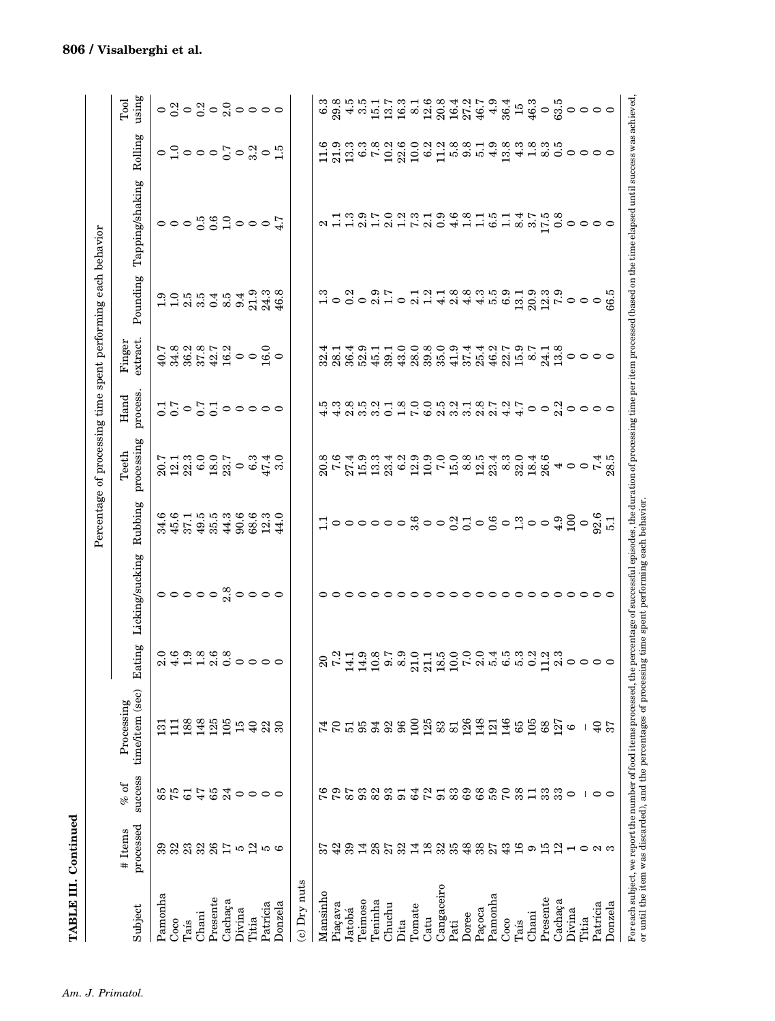|                                                                                                          |                          |                          |                                                                   |                                  |                                                                                                                                                      |                                                      | Percentage of processing time spent performing each behavior           |                             |                                                                                                       |          |                                     |                                                                                                                                                                                                                                  |                                                                                                   |
|----------------------------------------------------------------------------------------------------------|--------------------------|--------------------------|-------------------------------------------------------------------|----------------------------------|------------------------------------------------------------------------------------------------------------------------------------------------------|------------------------------------------------------|------------------------------------------------------------------------|-----------------------------|-------------------------------------------------------------------------------------------------------|----------|-------------------------------------|----------------------------------------------------------------------------------------------------------------------------------------------------------------------------------------------------------------------------------|---------------------------------------------------------------------------------------------------|
| Subject                                                                                                  | processed<br>#Items      | success<br>$\%$ of       | time/item (sec)<br>Processing                                     | Eating                           | Licking/sucking                                                                                                                                      | Rubbing                                              | processing<br>Teeth                                                    | process<br>$_{\rm Hand}$    | extract.<br>Finger                                                                                    | Pounding | Tapping/shaking                     | Rolling                                                                                                                                                                                                                          | using<br>Tool                                                                                     |
| Pamonha                                                                                                  | 39                       |                          | $\Xi$                                                             |                                  |                                                                                                                                                      |                                                      |                                                                        |                             |                                                                                                       |          |                                     |                                                                                                                                                                                                                                  |                                                                                                   |
| Coco                                                                                                     | 32                       | 85<br>75                 | Ξ                                                                 |                                  |                                                                                                                                                      |                                                      |                                                                        |                             |                                                                                                       |          |                                     |                                                                                                                                                                                                                                  |                                                                                                   |
| Taís                                                                                                     | 23                       | $\overline{6}$           | 188                                                               |                                  |                                                                                                                                                      |                                                      |                                                                        |                             |                                                                                                       |          |                                     |                                                                                                                                                                                                                                  |                                                                                                   |
| Chani                                                                                                    | 32                       | 47                       | 148                                                               |                                  |                                                                                                                                                      |                                                      |                                                                        |                             |                                                                                                       |          |                                     |                                                                                                                                                                                                                                  |                                                                                                   |
| Presente                                                                                                 | 26                       | 65                       | 125                                                               |                                  |                                                                                                                                                      |                                                      |                                                                        |                             |                                                                                                       |          |                                     |                                                                                                                                                                                                                                  |                                                                                                   |
| Cachaça                                                                                                  |                          | 24                       | 105                                                               |                                  |                                                                                                                                                      |                                                      |                                                                        |                             |                                                                                                       |          |                                     |                                                                                                                                                                                                                                  |                                                                                                   |
| Divina                                                                                                   | $\frac{5}{11}$           | $\circ$                  | 15                                                                |                                  |                                                                                                                                                      |                                                      |                                                                        |                             |                                                                                                       |          |                                     |                                                                                                                                                                                                                                  |                                                                                                   |
| Titia                                                                                                    | $\frac{2}{1}$            | $\circ$                  | $\overline{40}$                                                   | o co a co a<br>a strictedo o o o | $\circ \circ \circ \circ \overset{\circ}{\circ} \circ \circ \circ \circ$                                                                             | 6 6 6 1 6 6 6 6 6 6 7 6<br>5 5 6 7 6 7 6 7 6 7 6 7 7 | $20.7130005$<br>$20.730005$<br>$20.730005$<br>$20.730005$<br>$20.7300$ | 0000053055                  | $7.888873$<br>$4.88873$<br>$4.88873$<br>$4.89873$<br>$4.89873$<br>$4.89873$<br>$4.89873$<br>$4.89873$ |          | $\frac{7}{7}$ 000 $\frac{1}{3}$ 000 | $\circ$ descributions $\circ$ denotes $\circ$                                                                                                                                                                                    | $\circ$ $\frac{3}{5}$ $\circ$ $\frac{3}{5}$ $\circ$ $\frac{2}{5}$ $\circ$ $\circ$ $\circ$ $\circ$ |
| Patrícia                                                                                                 | S                        | $\circ$                  | 22                                                                |                                  |                                                                                                                                                      |                                                      |                                                                        |                             |                                                                                                       |          |                                     |                                                                                                                                                                                                                                  |                                                                                                   |
| Donzela                                                                                                  | ဖ                        | $\circ$                  | $\boldsymbol{\mathcal{S}}$                                        |                                  |                                                                                                                                                      |                                                      |                                                                        |                             |                                                                                                       |          |                                     |                                                                                                                                                                                                                                  |                                                                                                   |
| c) Dry nuts                                                                                              |                          |                          |                                                                   |                                  |                                                                                                                                                      |                                                      |                                                                        |                             |                                                                                                       |          |                                     |                                                                                                                                                                                                                                  |                                                                                                   |
| Mansinho                                                                                                 |                          | 76                       |                                                                   |                                  |                                                                                                                                                      |                                                      |                                                                        |                             | 32.4                                                                                                  |          |                                     |                                                                                                                                                                                                                                  |                                                                                                   |
| Piaçava                                                                                                  | 42                       | 57                       | $\mathcal{C}$                                                     |                                  |                                                                                                                                                      |                                                      |                                                                        |                             |                                                                                                       |          |                                     |                                                                                                                                                                                                                                  |                                                                                                   |
| Jatobá                                                                                                   | 39                       | 87                       | $\overline{51}$                                                   |                                  |                                                                                                                                                      |                                                      |                                                                        |                             |                                                                                                       |          |                                     |                                                                                                                                                                                                                                  |                                                                                                   |
| Teimoso                                                                                                  | $\overline{14}$          | 93                       | 95                                                                |                                  |                                                                                                                                                      |                                                      |                                                                        |                             |                                                                                                       |          |                                     |                                                                                                                                                                                                                                  |                                                                                                   |
| Peninha                                                                                                  | 28                       | 82                       | 54                                                                |                                  |                                                                                                                                                      |                                                      |                                                                        |                             |                                                                                                       |          |                                     |                                                                                                                                                                                                                                  |                                                                                                   |
| Chuchu                                                                                                   | 27                       | 93                       | 92                                                                |                                  | $\circ$ $\circ$                                                                                                                                      |                                                      |                                                                        |                             |                                                                                                       |          |                                     |                                                                                                                                                                                                                                  |                                                                                                   |
| Dita                                                                                                     | 32                       | 51                       | 96                                                                |                                  |                                                                                                                                                      |                                                      |                                                                        |                             |                                                                                                       |          |                                     |                                                                                                                                                                                                                                  |                                                                                                   |
| Tomate                                                                                                   | $\frac{1}{4}$            | 64                       | $^{100}$                                                          |                                  |                                                                                                                                                      |                                                      |                                                                        |                             |                                                                                                       |          |                                     |                                                                                                                                                                                                                                  |                                                                                                   |
| Catu                                                                                                     | $\frac{8}{18}$           | 72                       | $\frac{25}{83}$                                                   |                                  |                                                                                                                                                      |                                                      |                                                                        | よまえる。ひまている。これをいえていりつこのののよう。 | 11491110080914101101118<br>8081456186161118648168168160000<br>80814564865616848816816                 |          |                                     | considente de disposition de disposition de la considencia de la considencia de la considencia de la considenc<br>Halia de la considencia de la considencia de la considencia de la considencia de la considencia de la considen |                                                                                                   |
| Cangaceiro                                                                                               | 35                       | 51                       |                                                                   |                                  |                                                                                                                                                      |                                                      |                                                                        |                             |                                                                                                       |          |                                     |                                                                                                                                                                                                                                  |                                                                                                   |
| Pati                                                                                                     |                          | 83                       | 81                                                                |                                  |                                                                                                                                                      |                                                      |                                                                        |                             |                                                                                                       |          |                                     |                                                                                                                                                                                                                                  |                                                                                                   |
| Doree                                                                                                    | 48                       | 69                       | 126<br>148                                                        |                                  |                                                                                                                                                      |                                                      |                                                                        |                             |                                                                                                       |          |                                     |                                                                                                                                                                                                                                  |                                                                                                   |
| Paçoca                                                                                                   | 38                       | 68                       |                                                                   |                                  |                                                                                                                                                      |                                                      |                                                                        |                             |                                                                                                       |          |                                     |                                                                                                                                                                                                                                  |                                                                                                   |
| Pamonha                                                                                                  | 27                       | 59                       | 121                                                               |                                  | っ                                                                                                                                                    |                                                      |                                                                        |                             |                                                                                                       |          |                                     |                                                                                                                                                                                                                                  |                                                                                                   |
| Coco                                                                                                     | 43                       | $\sqrt{2}$               | 146                                                               |                                  | 00                                                                                                                                                   |                                                      |                                                                        |                             |                                                                                                       |          |                                     |                                                                                                                                                                                                                                  |                                                                                                   |
| Taís                                                                                                     | $\frac{6}{1}$            | 38                       | 85                                                                |                                  |                                                                                                                                                      |                                                      |                                                                        |                             |                                                                                                       |          |                                     |                                                                                                                                                                                                                                  |                                                                                                   |
| Chani                                                                                                    | ာ                        | $\Xi$                    | 105                                                               |                                  |                                                                                                                                                      |                                                      |                                                                        |                             |                                                                                                       |          |                                     |                                                                                                                                                                                                                                  |                                                                                                   |
| Presente                                                                                                 | $\overline{15}$          | 33                       | 8 <sup>o</sup>                                                    |                                  |                                                                                                                                                      |                                                      |                                                                        |                             |                                                                                                       |          |                                     |                                                                                                                                                                                                                                  |                                                                                                   |
| Cachaça                                                                                                  | $\mathbf{r}$             | 33                       | 127                                                               |                                  |                                                                                                                                                      |                                                      |                                                                        |                             |                                                                                                       |          |                                     |                                                                                                                                                                                                                                  |                                                                                                   |
| Divina                                                                                                   | $\overline{\phantom{0}}$ | $\circ$                  | $\circ$                                                           |                                  |                                                                                                                                                      |                                                      |                                                                        |                             |                                                                                                       |          |                                     |                                                                                                                                                                                                                                  |                                                                                                   |
| Titia                                                                                                    | $\circ$                  | $\overline{\phantom{a}}$ |                                                                   |                                  |                                                                                                                                                      |                                                      |                                                                        |                             |                                                                                                       |          |                                     |                                                                                                                                                                                                                                  |                                                                                                   |
| Patrícia                                                                                                 | $\approx$ $\infty$       | $\circ$ $\circ$          | $\overline{\theta}$                                               |                                  |                                                                                                                                                      |                                                      |                                                                        |                             |                                                                                                       |          |                                     |                                                                                                                                                                                                                                  |                                                                                                   |
| Donzela                                                                                                  |                          |                          | 57                                                                |                                  |                                                                                                                                                      |                                                      |                                                                        |                             |                                                                                                       |          |                                     |                                                                                                                                                                                                                                  |                                                                                                   |
| or until the item was discarded), and the percentages of processing time spent performing each behavior. |                          |                          | For each subject, we report the number of food items processed, t |                                  | he percentage of successful episodes, the duration of processing time per item processed (based on the time elapsed until success was achieved $\mu$ |                                                      |                                                                        |                             |                                                                                                       |          |                                     |                                                                                                                                                                                                                                  |                                                                                                   |

TABLE III. Continued

TABLE III. Continued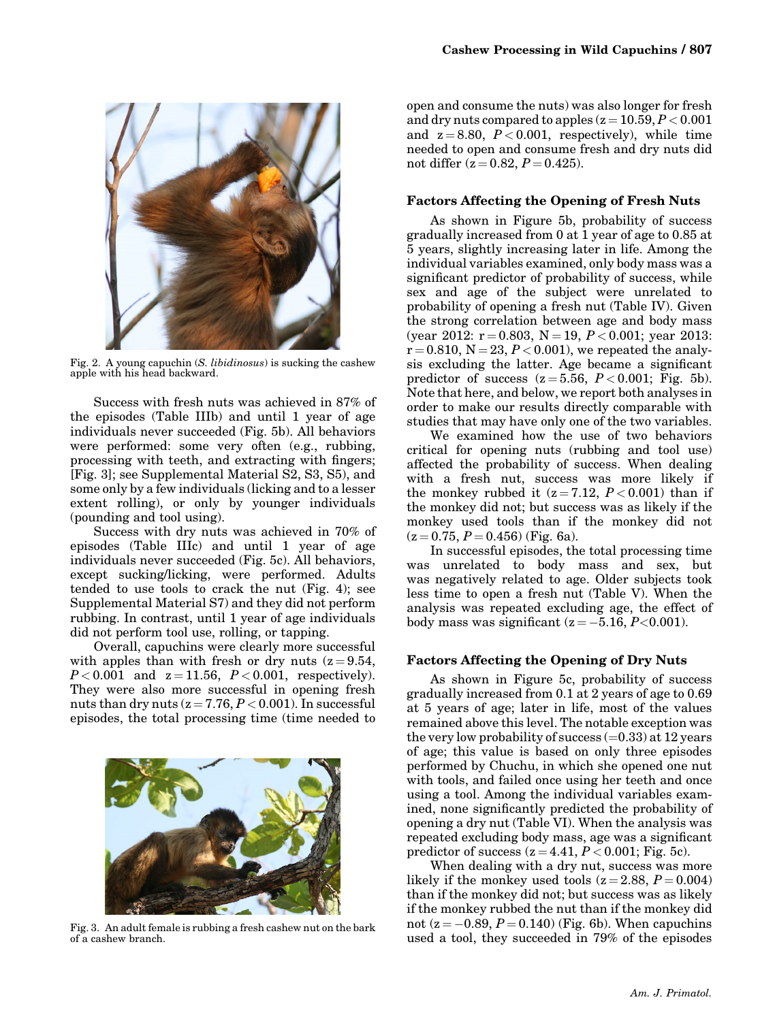

Fig. 2. A young capuchin (S. libidinosus) is sucking the cashew apple with his head backward.

Success with fresh nuts was achieved in 87% of the episodes (Table IIIb) and until 1 year of age individuals never succeeded (Fig. 5b). All behaviors were performed: some very often (e.g., rubbing, processing with teeth, and extracting with fingers; [Fig. 3]; see Supplemental Material S2, S3, S5), and some only by a few individuals (licking and to a lesser extent rolling), or only by younger individuals (pounding and tool using).

Success with dry nuts was achieved in 70% of episodes (Table IIIc) and until 1 year of age individuals never succeeded (Fig. 5c). All behaviors, except sucking/licking, were performed. Adults tended to use tools to crack the nut (Fig. 4); see Supplemental Material S7) and they did not perform rubbing. In contrast, until 1 year of age individuals did not perform tool use, rolling, or tapping.

Overall, capuchins were clearly more successful with apples than with fresh or dry nuts  $(z=9.54, ...)$  $P < 0.001$  and  $z = 11.56$ ,  $P < 0.001$ , respectively). They were also more successful in opening fresh nuts than dry nuts  $(z = 7.76, P < 0.001)$ . In successful episodes, the total processing time (time needed to



Fig. 3. An adult female is rubbing a fresh cashew nut on the bark of a cashew branch.

open and consume the nuts) was also longer for fresh and dry nuts compared to apples  $(z = 10.59, P < 0.001)$ and  $z = 8.80$ ,  $P < 0.001$ , respectively), while time needed to open and consume fresh and dry nuts did not differ  $(z = 0.82, P = 0.425)$ .

#### Factors Affecting the Opening of Fresh Nuts

As shown in Figure 5b, probability of success gradually increased from 0 at 1 year of age to 0.85 at 5 years, slightly increasing later in life. Among the individual variables examined, only body mass was a significant predictor of probability of success, while sex and age of the subject were unrelated to probability of opening a fresh nut (Table IV). Given the strong correlation between age and body mass (year 2012:  $r = 0.803$ ,  $N = 19$ ,  $P < 0.001$ ; year 2013:  $r = 0.810$ ,  $N = 23$ ,  $P < 0.001$ ), we repeated the analysis excluding the latter. Age became a significant predictor of success  $(z=5.56, P<0.001;$  Fig. 5b). Note that here, and below, we report both analyses in order to make our results directly comparable with studies that may have only one of the two variables.

We examined how the use of two behaviors critical for opening nuts (rubbing and tool use) affected the probability of success. When dealing with a fresh nut, success was more likely if the monkey rubbed it  $(z = 7.12, P < 0.001)$  than if the monkey did not; but success was as likely if the monkey used tools than if the monkey did not  $(z = 0.75, P = 0.456)$  (Fig. 6a).

In successful episodes, the total processing time was unrelated to body mass and sex, but was negatively related to age. Older subjects took less time to open a fresh nut (Table V). When the analysis was repeated excluding age, the effect of body mass was significant  $(z = -5.16, P < 0.001)$ .

#### Factors Affecting the Opening of Dry Nuts

As shown in Figure 5c, probability of success gradually increased from 0.1 at 2 years of age to 0.69 at 5 years of age; later in life, most of the values remained above this level. The notable exception was the very low probability of success  $(=0.33)$  at 12 years of age; this value is based on only three episodes performed by Chuchu, in which she opened one nut with tools, and failed once using her teeth and once using a tool. Among the individual variables examined, none significantly predicted the probability of opening a dry nut (Table VI). When the analysis was repeated excluding body mass, age was a significant predictor of success  $(z = 4.41, P < 0.001;$  Fig. 5c).

When dealing with a dry nut, success was more likely if the monkey used tools  $(z = 2.88, P = 0.004)$ than if the monkey did not; but success was as likely if the monkey rubbed the nut than if the monkey did not (z =  $-0.89$ , P = 0.140) (Fig. 6b). When capuchins used a tool, they succeeded in 79% of the episodes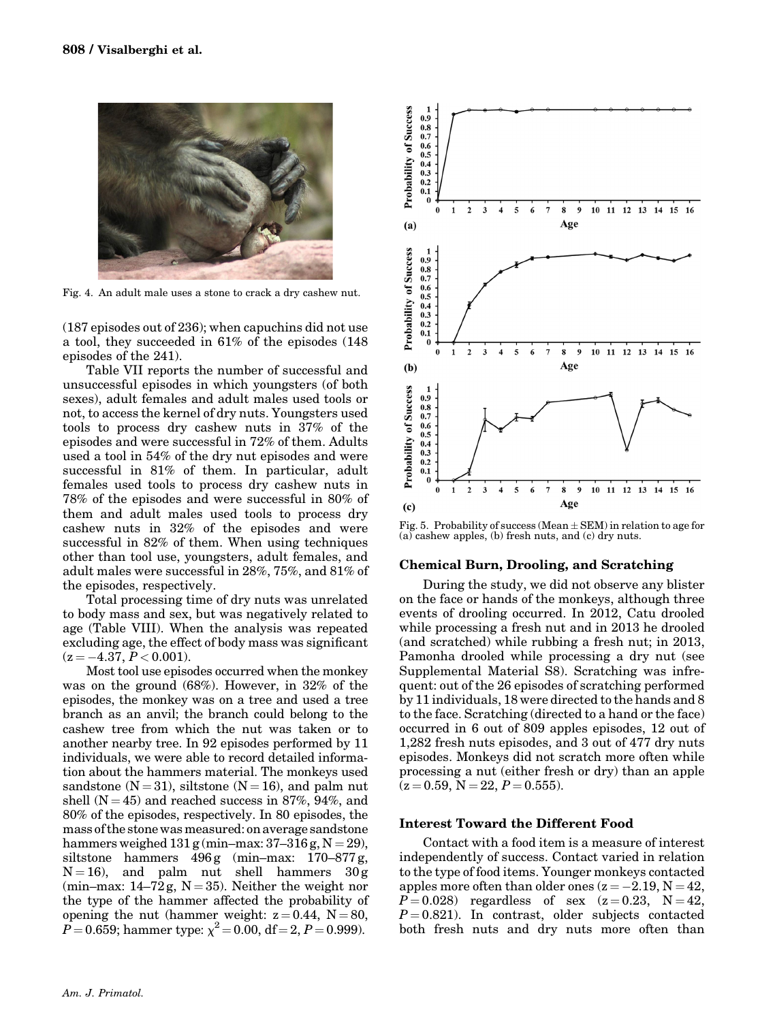

Fig. 4. An adult male uses a stone to crack a dry cashew nut.

(187 episodes out of 236); when capuchins did not use a tool, they succeeded in 61% of the episodes (148 episodes of the 241).

Table VII reports the number of successful and unsuccessful episodes in which youngsters (of both sexes), adult females and adult males used tools or not, to access the kernel of dry nuts. Youngsters used tools to process dry cashew nuts in 37% of the episodes and were successful in 72% of them. Adults used a tool in 54% of the dry nut episodes and were successful in 81% of them. In particular, adult females used tools to process dry cashew nuts in 78% of the episodes and were successful in 80% of them and adult males used tools to process dry cashew nuts in 32% of the episodes and were successful in 82% of them. When using techniques other than tool use, youngsters, adult females, and adult males were successful in 28%, 75%, and 81% of the episodes, respectively.

Total processing time of dry nuts was unrelated to body mass and sex, but was negatively related to age (Table VIII). When the analysis was repeated excluding age, the effect of body mass was significant  $(z = -4.37, P < 0.001)$ .

Most tool use episodes occurred when the monkey was on the ground (68%). However, in 32% of the episodes, the monkey was on a tree and used a tree branch as an anvil; the branch could belong to the cashew tree from which the nut was taken or to another nearby tree. In 92 episodes performed by 11 individuals, we were able to record detailed information about the hammers material. The monkeys used sandstone ( $N = 31$ ), siltstone ( $N = 16$ ), and palm nut shell  $(N = 45)$  and reached success in 87%, 94%, and 80% of the episodes, respectively. In 80 episodes, the mass of the stone was measured: on average sandstone hammers weighed  $131$  g (min–max:  $37-316$  g,  $N = 29$ ), siltstone hammers  $496 g$  (min–max:  $170-877 g$ ,  $N = 16$ ), and palm nut shell hammers  $30 g$ (min–max:  $14-72$  g,  $N = 35$ ). Neither the weight nor the type of the hammer affected the probability of opening the nut (hammer weight:  $z = 0.44$ ,  $N = 80$ ,  $P = 0.659$ ; hammer type:  $\chi^2 = 0.00$ , df = 2, P = 0.999).



Fig. 5. Probability of success (Mean  $\pm$  SEM) in relation to age for (a) cashew apples, (b) fresh nuts, and (c) dry nuts.

#### Chemical Burn, Drooling, and Scratching

During the study, we did not observe any blister on the face or hands of the monkeys, although three events of drooling occurred. In 2012, Catu drooled while processing a fresh nut and in 2013 he drooled (and scratched) while rubbing a fresh nut; in 2013, Pamonha drooled while processing a dry nut (see Supplemental Material S8). Scratching was infrequent: out of the 26 episodes of scratching performed by 11 individuals, 18 were directed to the hands and 8 to the face. Scratching (directed to a hand or the face) occurred in 6 out of 809 apples episodes, 12 out of 1,282 fresh nuts episodes, and 3 out of 477 dry nuts episodes. Monkeys did not scratch more often while processing a nut (either fresh or dry) than an apple  $(z = 0.59, N = 22, P = 0.555).$ 

#### Interest Toward the Different Food

Contact with a food item is a measure of interest independently of success. Contact varied in relation to the type of food items. Younger monkeys contacted apples more often than older ones  $(z = -2.19, N = 42,$  $P = 0.028$  regardless of sex  $(z = 0.23, N = 42,$  $P = 0.821$ . In contrast, older subjects contacted both fresh nuts and dry nuts more often than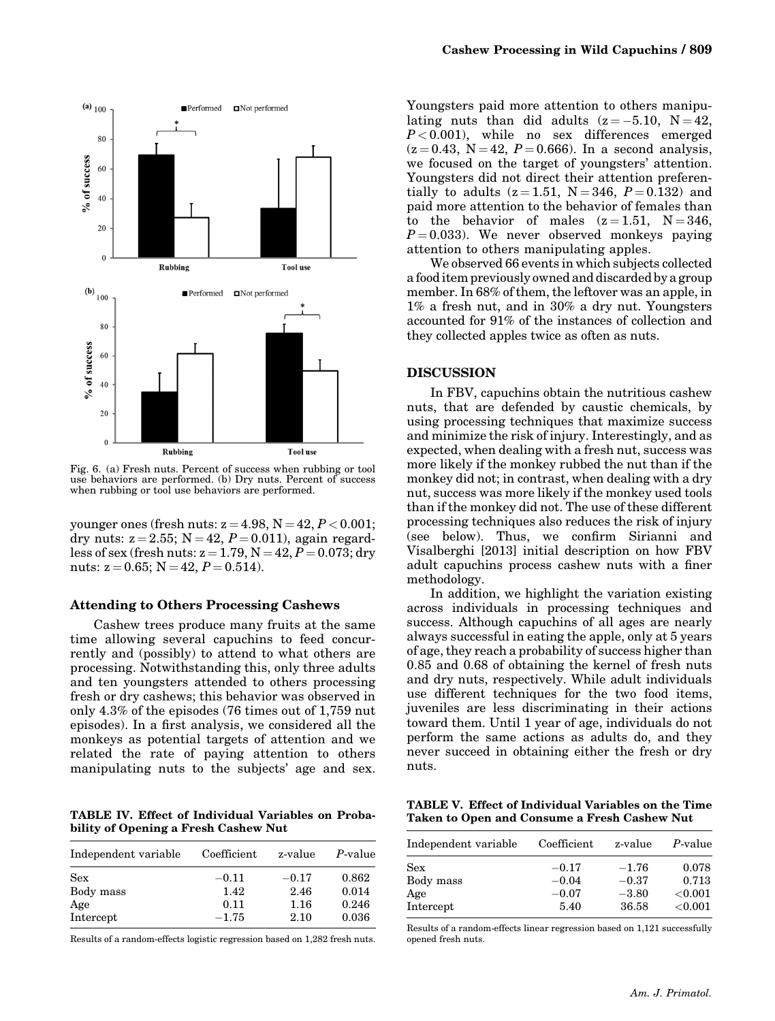

Fig. 6. (a) Fresh nuts. Percent of success when rubbing or tool use behaviors are performed. (b) Dry nuts. Percent of success when rubbing or tool use behaviors are performed.

younger ones (fresh nuts:  $z = 4.98$ ,  $N = 42$ ,  $P < 0.001$ ; dry nuts:  $z = 2.55$ ;  $N = 42$ ,  $P = 0.011$ ), again regardless of sex (fresh nuts:  $z = 1.79$ ,  $N = 42$ ,  $P = 0.073$ ; dry nuts:  $z = 0.65$ ; N = 42,  $P = 0.514$ ).

#### Attending to Others Processing Cashews

Cashew trees produce many fruits at the same time allowing several capuchins to feed concurrently and (possibly) to attend to what others are processing. Notwithstanding this, only three adults and ten youngsters attended to others processing fresh or dry cashews; this behavior was observed in only 4.3% of the episodes (76 times out of 1,759 nut episodes). In a first analysis, we considered all the monkeys as potential targets of attention and we related the rate of paying attention to others manipulating nuts to the subjects' age and sex.

TABLE IV. Effect of Individual Variables on Probability of Opening a Fresh Cashew Nut

| Independent variable | Coefficient | z-value | P-value |
|----------------------|-------------|---------|---------|
| Sex                  | $-0.11$     | $-0.17$ | 0.862   |
| Body mass            | 1.42        | 2.46    | 0.014   |
| Age                  | 0.11        | 1.16    | 0.246   |
| Intercept            | $-1.75$     | 2.10    | 0.036   |

Results of a random-effects logistic regression based on 1,282 fresh nuts.

Youngsters paid more attention to others manipulating nuts than did adults  $(z = -5.10, N = 42,$  $P < 0.001$ ), while no sex differences emerged  $(z = 0.43, N = 42, P = 0.666)$ . In a second analysis, we focused on the target of youngsters' attention. Youngsters did not direct their attention preferentially to adults  $(z = 1.51, N = 346, P = 0.132)$  and paid more attention to the behavior of females than to the behavior of males  $(z=1.51, N=346,$  $P = 0.033$ ). We never observed monkeys paying attention to others manipulating apples.

We observed 66 events in which subjects collected a food item previously owned and discarded by a group member. In 68% of them, the leftover was an apple, in 1% a fresh nut, and in 30% a dry nut. Youngsters accounted for 91% of the instances of collection and they collected apples twice as often as nuts.

# DISCUSSION

In FBV, capuchins obtain the nutritious cashew nuts, that are defended by caustic chemicals, by using processing techniques that maximize success and minimize the risk of injury. Interestingly, and as expected, when dealing with a fresh nut, success was more likely if the monkey rubbed the nut than if the monkey did not; in contrast, when dealing with a dry nut, success was more likely if the monkey used tools than if the monkey did not. The use of these different processing techniques also reduces the risk of injury (see below). Thus, we confirm Sirianni and Visalberghi [2013] initial description on how FBV adult capuchins process cashew nuts with a finer methodology.

In addition, we highlight the variation existing across individuals in processing techniques and success. Although capuchins of all ages are nearly always successful in eating the apple, only at 5 years of age, they reach a probability of success higher than 0.85 and 0.68 of obtaining the kernel of fresh nuts and dry nuts, respectively. While adult individuals use different techniques for the two food items, juveniles are less discriminating in their actions toward them. Until 1 year of age, individuals do not perform the same actions as adults do, and they never succeed in obtaining either the fresh or dry nuts.

TABLE V. Effect of Individual Variables on the Time Taken to Open and Consume a Fresh Cashew Nut

| Independent variable | Coefficient | z-value | P-value    |
|----------------------|-------------|---------|------------|
| <b>Sex</b>           | $-0.17$     | $-1.76$ | 0.078      |
| Body mass            | $-0.04$     | $-0.37$ | 0.713      |
| Age                  | $-0.07$     | $-3.80$ | ${<}0.001$ |
| Intercept            | 5.40        | 36.58   | ${<}0.001$ |

Results of a random-effects linear regression based on 1,121 successfully opened fresh nuts.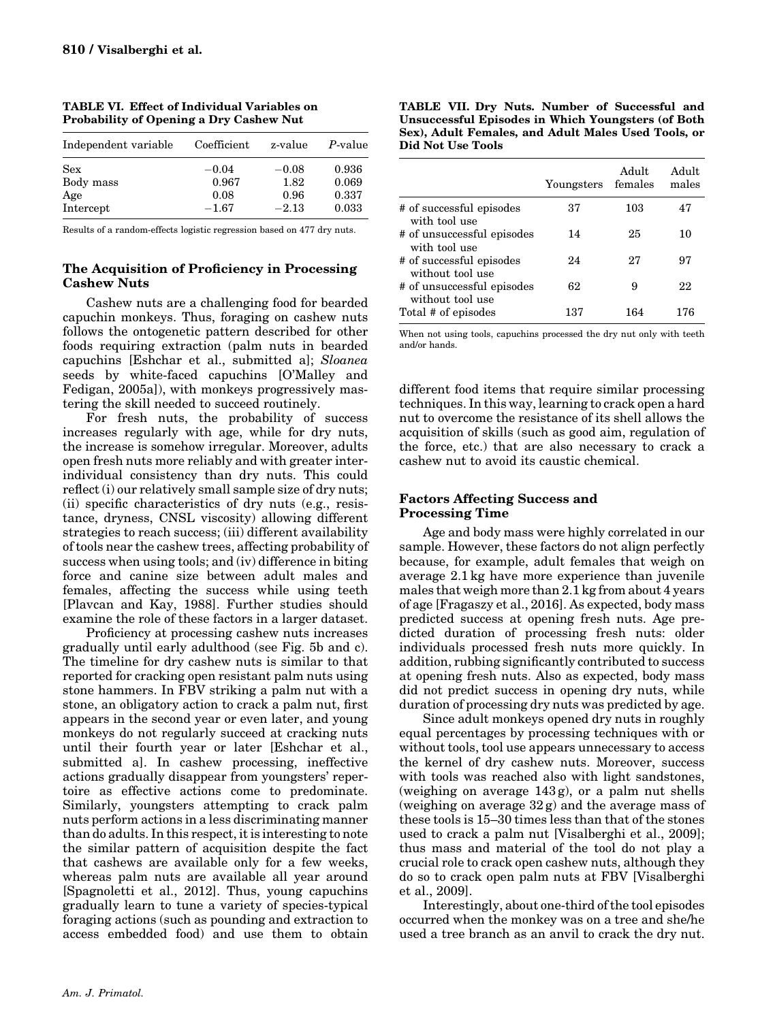| Independent variable | Coefficient | z-value | P-value |
|----------------------|-------------|---------|---------|
| Sex                  | $-0.04$     | $-0.08$ | 0.936   |
| Body mass            | 0.967       | 1.82    | 0.069   |
| Age                  | 0.08        | 0.96    | 0.337   |
| Intercept            | $-1.67$     | $-2.13$ | 0.033   |

TABLE VI. Effect of Individual Variables on Probability of Opening a Dry Cashew Nut

Results of a random-effects logistic regression based on 477 dry nuts.

# The Acquisition of Proficiency in Processing Cashew Nuts

Cashew nuts are a challenging food for bearded capuchin monkeys. Thus, foraging on cashew nuts follows the ontogenetic pattern described for other foods requiring extraction (palm nuts in bearded capuchins [Eshchar et al., submitted a]; Sloanea seeds by white-faced capuchins [O'Malley and Fedigan, 2005a]), with monkeys progressively mastering the skill needed to succeed routinely.

For fresh nuts, the probability of success increases regularly with age, while for dry nuts, the increase is somehow irregular. Moreover, adults open fresh nuts more reliably and with greater interindividual consistency than dry nuts. This could reflect (i) our relatively small sample size of dry nuts; (ii) specific characteristics of dry nuts (e.g., resistance, dryness, CNSL viscosity) allowing different strategies to reach success; (iii) different availability of tools near the cashew trees, affecting probability of success when using tools; and (iv) difference in biting force and canine size between adult males and females, affecting the success while using teeth [Plavcan and Kay, 1988]. Further studies should examine the role of these factors in a larger dataset.

Proficiency at processing cashew nuts increases gradually until early adulthood (see Fig. 5b and c). The timeline for dry cashew nuts is similar to that reported for cracking open resistant palm nuts using stone hammers. In FBV striking a palm nut with a stone, an obligatory action to crack a palm nut, first appears in the second year or even later, and young monkeys do not regularly succeed at cracking nuts until their fourth year or later [Eshchar et al., submitted a]. In cashew processing, ineffective actions gradually disappear from youngsters' repertoire as effective actions come to predominate. Similarly, youngsters attempting to crack palm nuts perform actions in a less discriminating manner than do adults. In this respect, it is interesting to note the similar pattern of acquisition despite the fact that cashews are available only for a few weeks, whereas palm nuts are available all year around [Spagnoletti et al., 2012]. Thus, young capuchins gradually learn to tune a variety of species-typical foraging actions (such as pounding and extraction to access embedded food) and use them to obtain

| TABLE VII. Dry Nuts. Number of Successful and       |
|-----------------------------------------------------|
| Unsuccessful Episodes in Which Youngsters (of Both  |
| Sex), Adult Females, and Adult Males Used Tools, or |
| Did Not Use Tools                                   |

|                                                | Youngsters | Adult<br>females | Adult<br>males |
|------------------------------------------------|------------|------------------|----------------|
| # of successful episodes<br>with tool use      | 37         | 103              | 47             |
| # of unsuccessful episodes<br>with tool use    | 14         | 25               | 10             |
| # of successful episodes<br>without tool use   | 24         | 27               | 97             |
| # of unsuccessful episodes<br>without tool use | 62         | 9                | 22             |
| Total # of episodes                            | 137        | 164              | 176            |

When not using tools, capuchins processed the dry nut only with teeth and/or hands.

different food items that require similar processing techniques. In this way, learning to crack open a hard nut to overcome the resistance of its shell allows the acquisition of skills (such as good aim, regulation of the force, etc.) that are also necessary to crack a cashew nut to avoid its caustic chemical.

# Factors Affecting Success and Processing Time

Age and body mass were highly correlated in our sample. However, these factors do not align perfectly because, for example, adult females that weigh on average 2.1 kg have more experience than juvenile males that weigh more than 2.1 kg from about 4 years of age [Fragaszy et al., 2016]. As expected, body mass predicted success at opening fresh nuts. Age predicted duration of processing fresh nuts: older individuals processed fresh nuts more quickly. In addition, rubbing significantly contributed to success at opening fresh nuts. Also as expected, body mass did not predict success in opening dry nuts, while duration of processing dry nuts was predicted by age.

Since adult monkeys opened dry nuts in roughly equal percentages by processing techniques with or without tools, tool use appears unnecessary to access the kernel of dry cashew nuts. Moreover, success with tools was reached also with light sandstones, (weighing on average 143 g), or a palm nut shells (weighing on average 32 g) and the average mass of these tools is 15–30 times less than that of the stones used to crack a palm nut [Visalberghi et al., 2009]; thus mass and material of the tool do not play a crucial role to crack open cashew nuts, although they do so to crack open palm nuts at FBV [Visalberghi et al., 2009].

Interestingly, about one-third of the tool episodes occurred when the monkey was on a tree and she/he used a tree branch as an anvil to crack the dry nut.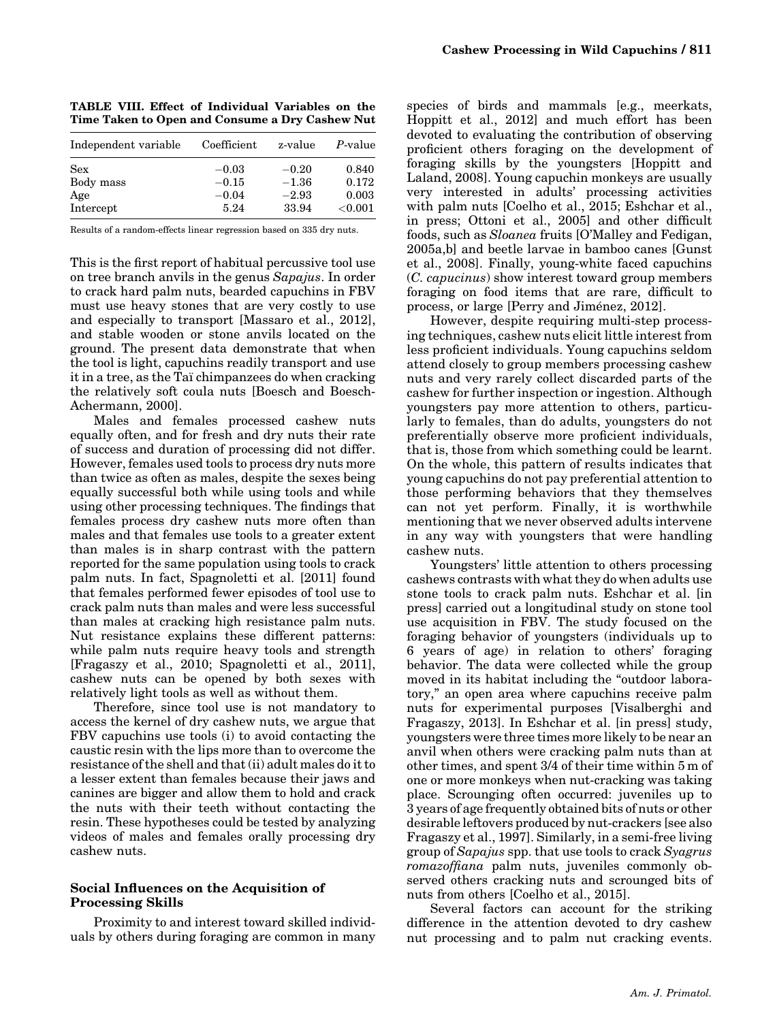|  |  | TABLE VIII. Effect of Individual Variables on the |  |  |
|--|--|---------------------------------------------------|--|--|
|  |  | Time Taken to Open and Consume a Dry Cashew Nut   |  |  |

| Independent variable | Coefficient | z-value | P-value    |
|----------------------|-------------|---------|------------|
| Sex                  | $-0.03$     | $-0.20$ | 0.840      |
| Body mass            | $-0.15$     | $-1.36$ | 0.172      |
| Age                  | $-0.04$     | $-2.93$ | 0.003      |
| Intercept            | 5.24        | 33.94   | ${<}0.001$ |

Results of a random-effects linear regression based on 335 dry nuts.

This is the first report of habitual percussive tool use on tree branch anvils in the genus Sapajus. In order to crack hard palm nuts, bearded capuchins in FBV must use heavy stones that are very costly to use and especially to transport [Massaro et al., 2012], and stable wooden or stone anvils located on the ground. The present data demonstrate that when the tool is light, capuchins readily transport and use it in a tree, as the Ta<sub>i</sub> chimpanzees do when cracking the relatively soft coula nuts [Boesch and Boesch-Achermann, 2000].

Males and females processed cashew nuts equally often, and for fresh and dry nuts their rate of success and duration of processing did not differ. However, females used tools to process dry nuts more than twice as often as males, despite the sexes being equally successful both while using tools and while using other processing techniques. The findings that females process dry cashew nuts more often than males and that females use tools to a greater extent than males is in sharp contrast with the pattern reported for the same population using tools to crack palm nuts. In fact, Spagnoletti et al. [2011] found that females performed fewer episodes of tool use to crack palm nuts than males and were less successful than males at cracking high resistance palm nuts. Nut resistance explains these different patterns: while palm nuts require heavy tools and strength [Fragaszy et al., 2010; Spagnoletti et al., 2011], cashew nuts can be opened by both sexes with relatively light tools as well as without them.

Therefore, since tool use is not mandatory to access the kernel of dry cashew nuts, we argue that FBV capuchins use tools (i) to avoid contacting the caustic resin with the lips more than to overcome the resistance of the shell and that (ii) adult males do it to a lesser extent than females because their jaws and canines are bigger and allow them to hold and crack the nuts with their teeth without contacting the resin. These hypotheses could be tested by analyzing videos of males and females orally processing dry cashew nuts.

## Social Influences on the Acquisition of Processing Skills

Proximity to and interest toward skilled individuals by others during foraging are common in many

species of birds and mammals [e.g., meerkats, Hoppitt et al., 2012] and much effort has been devoted to evaluating the contribution of observing proficient others foraging on the development of foraging skills by the youngsters [Hoppitt and Laland, 2008]. Young capuchin monkeys are usually very interested in adults' processing activities with palm nuts [Coelho et al., 2015; Eshchar et al., in press; Ottoni et al., 2005] and other difficult foods, such as Sloanea fruits [O'Malley and Fedigan, 2005a,b] and beetle larvae in bamboo canes [Gunst et al., 2008]. Finally, young-white faced capuchins (C. capucinus) show interest toward group members foraging on food items that are rare, difficult to process, or large [Perry and Jimenez, 2012].

However, despite requiring multi-step processing techniques, cashew nuts elicit little interest from less proficient individuals. Young capuchins seldom attend closely to group members processing cashew nuts and very rarely collect discarded parts of the cashew for further inspection or ingestion. Although youngsters pay more attention to others, particularly to females, than do adults, youngsters do not preferentially observe more proficient individuals, that is, those from which something could be learnt. On the whole, this pattern of results indicates that young capuchins do not pay preferential attention to those performing behaviors that they themselves can not yet perform. Finally, it is worthwhile mentioning that we never observed adults intervene in any way with youngsters that were handling cashew nuts.

Youngsters' little attention to others processing cashews contrasts with what they do when adults use stone tools to crack palm nuts. Eshchar et al. [in press] carried out a longitudinal study on stone tool use acquisition in FBV. The study focused on the foraging behavior of youngsters (individuals up to 6 years of age) in relation to others' foraging behavior. The data were collected while the group moved in its habitat including the "outdoor laboratory," an open area where capuchins receive palm nuts for experimental purposes [Visalberghi and Fragaszy, 2013]. In Eshchar et al. [in press] study, youngsters were three times more likely to be near an anvil when others were cracking palm nuts than at other times, and spent 3/4 of their time within 5 m of one or more monkeys when nut-cracking was taking place. Scrounging often occurred: juveniles up to 3 years of age frequently obtained bits of nuts or other desirable leftovers produced by nut-crackers [see also Fragaszy et al., 1997]. Similarly, in a semi-free living group of Sapajus spp. that use tools to crack Syagrus romazoffiana palm nuts, juveniles commonly observed others cracking nuts and scrounged bits of nuts from others [Coelho et al., 2015].

Several factors can account for the striking difference in the attention devoted to dry cashew nut processing and to palm nut cracking events.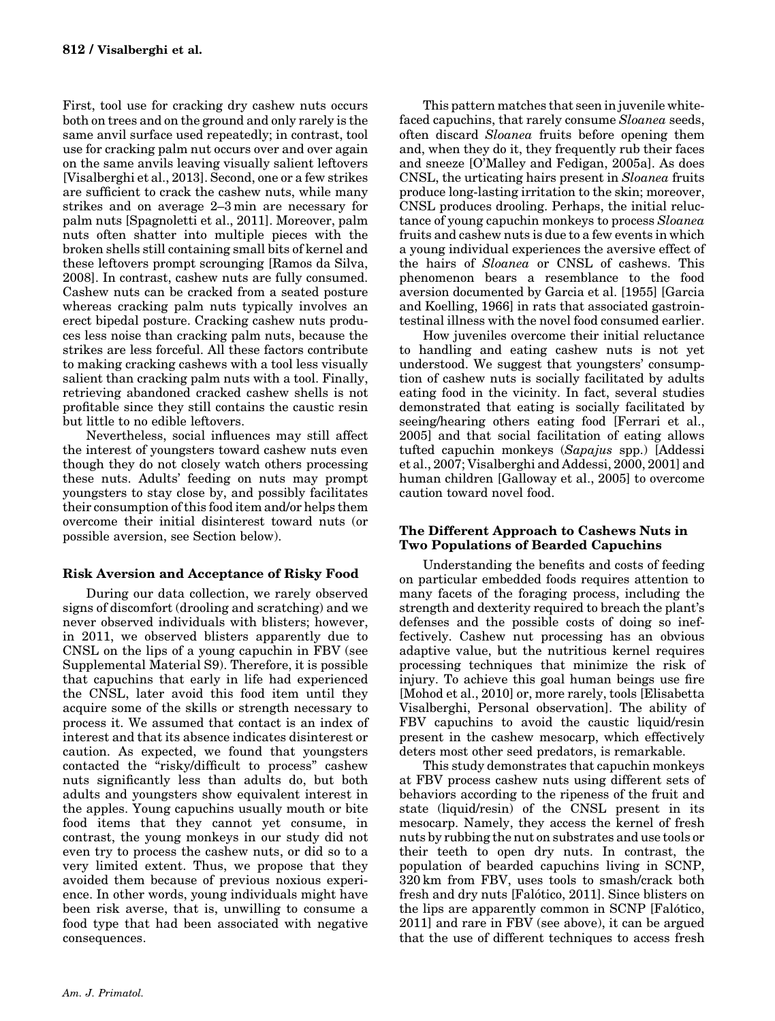First, tool use for cracking dry cashew nuts occurs both on trees and on the ground and only rarely is the same anvil surface used repeatedly; in contrast, tool use for cracking palm nut occurs over and over again on the same anvils leaving visually salient leftovers [Visalberghi et al., 2013]. Second, one or a few strikes are sufficient to crack the cashew nuts, while many strikes and on average 2–3 min are necessary for palm nuts [Spagnoletti et al., 2011]. Moreover, palm nuts often shatter into multiple pieces with the broken shells still containing small bits of kernel and these leftovers prompt scrounging [Ramos da Silva, 2008]. In contrast, cashew nuts are fully consumed. Cashew nuts can be cracked from a seated posture whereas cracking palm nuts typically involves an erect bipedal posture. Cracking cashew nuts produces less noise than cracking palm nuts, because the strikes are less forceful. All these factors contribute to making cracking cashews with a tool less visually salient than cracking palm nuts with a tool. Finally, retrieving abandoned cracked cashew shells is not profitable since they still contains the caustic resin but little to no edible leftovers.

Nevertheless, social influences may still affect the interest of youngsters toward cashew nuts even though they do not closely watch others processing these nuts. Adults' feeding on nuts may prompt youngsters to stay close by, and possibly facilitates their consumption of this food item and/or helps them overcome their initial disinterest toward nuts (or possible aversion, see Section below).

# Risk Aversion and Acceptance of Risky Food

During our data collection, we rarely observed signs of discomfort (drooling and scratching) and we never observed individuals with blisters; however, in 2011, we observed blisters apparently due to CNSL on the lips of a young capuchin in FBV (see Supplemental Material S9). Therefore, it is possible that capuchins that early in life had experienced the CNSL, later avoid this food item until they acquire some of the skills or strength necessary to process it. We assumed that contact is an index of interest and that its absence indicates disinterest or caution. As expected, we found that youngsters contacted the "risky/difficult to process" cashew nuts significantly less than adults do, but both adults and youngsters show equivalent interest in the apples. Young capuchins usually mouth or bite food items that they cannot yet consume, in contrast, the young monkeys in our study did not even try to process the cashew nuts, or did so to a very limited extent. Thus, we propose that they avoided them because of previous noxious experience. In other words, young individuals might have been risk averse, that is, unwilling to consume a food type that had been associated with negative consequences.

This pattern matches that seen in juvenile whitefaced capuchins, that rarely consume Sloanea seeds, often discard Sloanea fruits before opening them and, when they do it, they frequently rub their faces and sneeze [O'Malley and Fedigan, 2005a]. As does CNSL, the urticating hairs present in Sloanea fruits produce long-lasting irritation to the skin; moreover, CNSL produces drooling. Perhaps, the initial reluctance of young capuchin monkeys to process Sloanea fruits and cashew nuts is due to a few events in which a young individual experiences the aversive effect of the hairs of Sloanea or CNSL of cashews. This phenomenon bears a resemblance to the food aversion documented by Garcia et al. [1955] [Garcia and Koelling, 1966] in rats that associated gastrointestinal illness with the novel food consumed earlier.

How juveniles overcome their initial reluctance to handling and eating cashew nuts is not yet understood. We suggest that youngsters' consumption of cashew nuts is socially facilitated by adults eating food in the vicinity. In fact, several studies demonstrated that eating is socially facilitated by seeing/hearing others eating food [Ferrari et al., 2005] and that social facilitation of eating allows tufted capuchin monkeys (Sapajus spp.) [Addessi et al., 2007; Visalberghi and Addessi, 2000, 2001] and human children [Galloway et al., 2005] to overcome caution toward novel food.

# The Different Approach to Cashews Nuts in Two Populations of Bearded Capuchins

Understanding the benefits and costs of feeding on particular embedded foods requires attention to many facets of the foraging process, including the strength and dexterity required to breach the plant's defenses and the possible costs of doing so ineffectively. Cashew nut processing has an obvious adaptive value, but the nutritious kernel requires processing techniques that minimize the risk of injury. To achieve this goal human beings use fire [Mohod et al., 2010] or, more rarely, tools [Elisabetta Visalberghi, Personal observation]. The ability of FBV capuchins to avoid the caustic liquid/resin present in the cashew mesocarp, which effectively deters most other seed predators, is remarkable.

This study demonstrates that capuchin monkeys at FBV process cashew nuts using different sets of behaviors according to the ripeness of the fruit and state (liquid/resin) of the CNSL present in its mesocarp. Namely, they access the kernel of fresh nuts by rubbing the nut on substrates and use tools or their teeth to open dry nuts. In contrast, the population of bearded capuchins living in SCNP, 320 km from FBV, uses tools to smash/crack both fresh and dry nuts [Falotico, 2011]. Since blisters on the lips are apparently common in SCNP [Falotico, 2011] and rare in FBV (see above), it can be argued that the use of different techniques to access fresh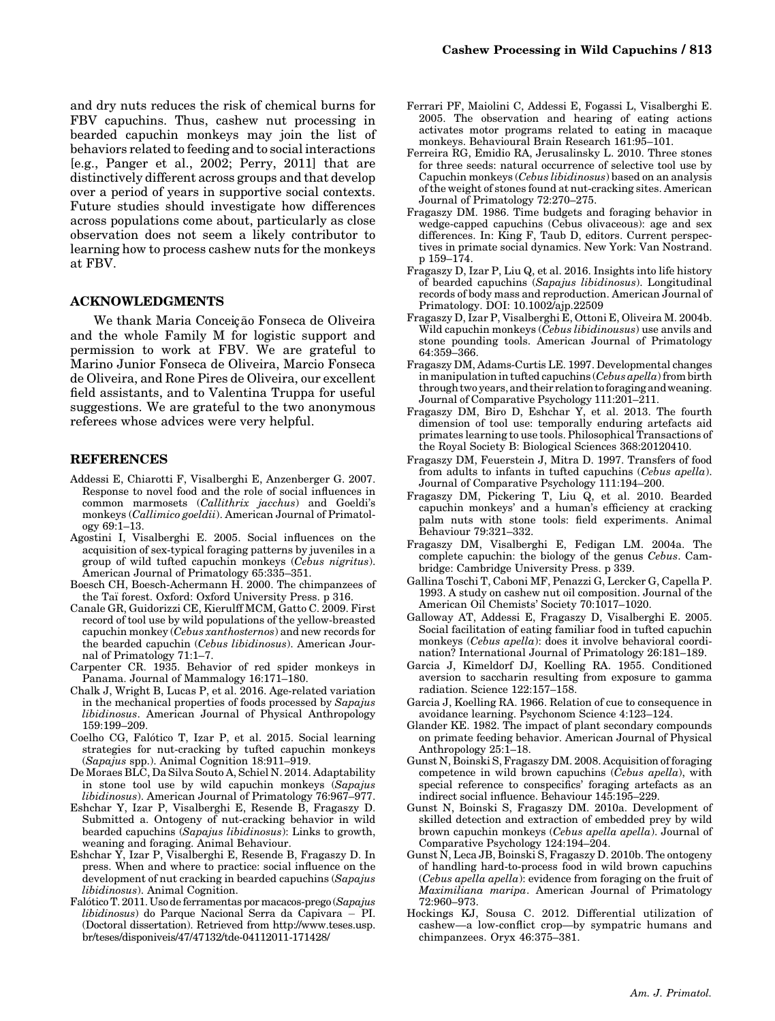and dry nuts reduces the risk of chemical burns for FBV capuchins. Thus, cashew nut processing in bearded capuchin monkeys may join the list of behaviors related to feeding and to social interactions [e.g., Panger et al., 2002; Perry, 2011] that are distinctively different across groups and that develop over a period of years in supportive social contexts. Future studies should investigate how differences across populations come about, particularly as close observation does not seem a likely contributor to learning how to process cashew nuts for the monkeys at FBV.

### ACKNOWLEDGMENTS

We thank Maria Conceição Fonseca de Oliveira and the whole Family M for logistic support and permission to work at FBV. We are grateful to Marino Junior Fonseca de Oliveira, Marcio Fonseca de Oliveira, and Rone Pires de Oliveira, our excellent field assistants, and to Valentina Truppa for useful suggestions. We are grateful to the two anonymous referees whose advices were very helpful.

#### REFERENCES

- Addessi E, Chiarotti F, Visalberghi E, Anzenberger G. 2007. Response to novel food and the role of social influences in common marmosets (Callithrix jacchus) and Goeldi's monkeys (Callimico goeldii). American Journal of Primatology 69:1–13.
- Agostini I, Visalberghi E. 2005. Social influences on the acquisition of sex-typical foraging patterns by juveniles in a group of wild tufted capuchin monkeys (Cebus nigritus). American Journal of Primatology 65:335–351.
- Boesch CH, Boesch-Achermann H. 2000. The chimpanzees of the Taï forest. Oxford: Oxford University Press. p 316.
- Canale GR, Guidorizzi CE, Kierulff MCM, Gatto C. 2009. First record of tool use by wild populations of the yellow-breasted capuchin monkey (Cebus xanthosternos) and new records for the bearded capuchin (Cebus libidinosus). American Journal of Primatology 71:1–7.
- Carpenter CR. 1935. Behavior of red spider monkeys in Panama. Journal of Mammalogy 16:171–180.
- Chalk J, Wright B, Lucas P, et al. 2016. Age-related variation in the mechanical properties of foods processed by Sapajus libidinosus. American Journal of Physical Anthropology 159:199–209.
- Coelho CG, Falotico T, Izar P, et al. 2015. Social learning strategies for nut-cracking by tufted capuchin monkeys (Sapajus spp.). Animal Cognition 18:911–919.
- De Moraes BLC, Da Silva Souto A, Schiel N. 2014. Adaptability in stone tool use by wild capuchin monkeys (Sapajus libidinosus). American Journal of Primatology 76:967–977.
- Eshchar Y, Izar P, Visalberghi E, Resende B, Fragaszy D. Submitted a. Ontogeny of nut-cracking behavior in wild bearded capuchins (Sapajus libidinosus): Links to growth, weaning and foraging. Animal Behaviour.
- Eshchar Y, Izar P, Visalberghi E, Resende B, Fragaszy D. In press. When and where to practice: social influence on the development of nut cracking in bearded capuchins (Sapajus libidinosus). Animal Cognition.
- Falotico T. 2011. Uso de ferramentas por macacos-prego (Sapajus libidinosus) do Parque Nacional Serra da Capivara - PI. (Doctoral dissertation). Retrieved from [http://www.teses.usp.](http://www.teses.usp.br/teses/disponiveis/47/47132/tde-04112011-171428/) [br/teses/disponiveis/47/47132/tde-04112011-171428/](http://www.teses.usp.br/teses/disponiveis/47/47132/tde-04112011-171428/)
- Ferrari PF, Maiolini C, Addessi E, Fogassi L, Visalberghi E. 2005. The observation and hearing of eating actions activates motor programs related to eating in macaque monkeys. Behavioural Brain Research 161:95–101.
- Ferreira RG, Emidio RA, Jerusalinsky L. 2010. Three stones for three seeds: natural occurrence of selective tool use by Capuchin monkeys (Cebus libidinosus) based on an analysis of the weight of stones found at nut-cracking sites. American Journal of Primatology 72:270–275.
- Fragaszy DM. 1986. Time budgets and foraging behavior in wedge-capped capuchins (Cebus olivaceous): age and sex differences. In: King F, Taub D, editors. Current perspectives in primate social dynamics. New York: Van Nostrand. p 159–174.
- Fragaszy D, Izar P, Liu Q, et al. 2016. Insights into life history of bearded capuchins (Sapajus libidinosus). Longitudinal records of body mass and reproduction. American Journal of Primatology. DOI: 10.1002/ajp.22509
- Fragaszy D, Izar P, Visalberghi E, Ottoni E, Oliveira M. 2004b. Wild capuchin monkeys (*Cebus libidinousus*) use anvils and stone pounding tools. American Journal of Primatology 64:359–366.
- Fragaszy DM, Adams-Curtis LE. 1997. Developmental changes in manipulation in tufted capuchins (Cebus apella) from birth through two years, and their relation to foraging andweaning. Journal of Comparative Psychology 111:201–211.
- Fragaszy DM, Biro D, Eshchar Y, et al. 2013. The fourth dimension of tool use: temporally enduring artefacts aid primates learning to use tools. Philosophical Transactions of the Royal Society B: Biological Sciences 368:20120410.
- Fragaszy DM, Feuerstein J, Mitra D. 1997. Transfers of food from adults to infants in tufted capuchins (Cebus apella). Journal of Comparative Psychology 111:194–200.
- Fragaszy DM, Pickering T, Liu Q, et al. 2010. Bearded capuchin monkeys' and a human's efficiency at cracking palm nuts with stone tools: field experiments. Animal Behaviour 79:321–332.
- Fragaszy DM, Visalberghi E, Fedigan LM. 2004a. The complete capuchin: the biology of the genus Cebus. Cambridge: Cambridge University Press. p 339.
- Gallina Toschi T, Caboni MF, Penazzi G, Lercker G, Capella P. 1993. A study on cashew nut oil composition. Journal of the American Oil Chemists' Society 70:1017–1020.
- Galloway AT, Addessi E, Fragaszy D, Visalberghi E. 2005. Social facilitation of eating familiar food in tufted capuchin monkeys (Cebus apella): does it involve behavioral coordination? International Journal of Primatology 26:181–189.
- Garcia J, Kimeldorf DJ, Koelling RA. 1955. Conditioned aversion to saccharin resulting from exposure to gamma radiation. Science 122:157–158.
- Garcia J, Koelling RA. 1966. Relation of cue to consequence in avoidance learning. Psychonom Science 4:123–124.
- Glander KE. 1982. The impact of plant secondary compounds on primate feeding behavior. American Journal of Physical Anthropology 25:1–18.
- Gunst N, Boinski S, Fragaszy DM. 2008. Acquisition of foraging competence in wild brown capuchins (Cebus apella), with special reference to conspecifics' foraging artefacts as an indirect social influence. Behaviour 145:195–229.
- Gunst N, Boinski S, Fragaszy DM. 2010a. Development of skilled detection and extraction of embedded prey by wild brown capuchin monkeys (Cebus apella apella). Journal of Comparative Psychology 124:194–204.
- Gunst N, Leca JB, Boinski S, Fragaszy D. 2010b. The ontogeny of handling hard-to-process food in wild brown capuchins (Cebus apella apella): evidence from foraging on the fruit of Maximiliana maripa. American Journal of Primatology 72:960–973.
- Hockings KJ, Sousa C. 2012. Differential utilization of cashew—a low-conflict crop—by sympatric humans and chimpanzees. Oryx 46:375–381.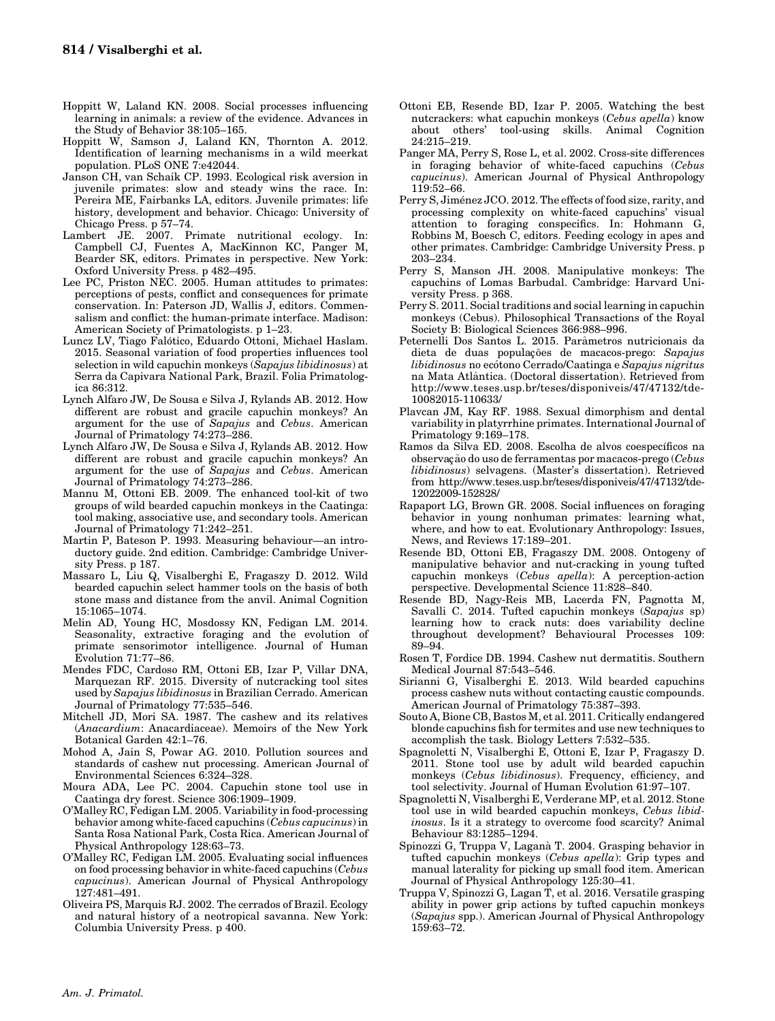- Hoppitt W, Laland KN. 2008. Social processes influencing learning in animals: a review of the evidence. Advances in the Study of Behavior 38:105–165.
- Hoppitt W, Samson J, Laland KN, Thornton A. 2012. Identification of learning mechanisms in a wild meerkat population. PLoS ONE 7:e42044.
- Janson CH, van Schaik CP. 1993. Ecological risk aversion in juvenile primates: slow and steady wins the race. In: Pereira ME, Fairbanks LA, editors. Juvenile primates: life history, development and behavior. Chicago: University of Chicago Press. p 57–74.
- Lambert JE. 2007. Primate nutritional ecology. In: Campbell CJ, Fuentes A, MacKinnon KC, Panger M, Bearder SK, editors. Primates in perspective. New York: Oxford University Press. p 482–495.
- Lee PC, Priston NEC. 2005. Human attitudes to primates: perceptions of pests, conflict and consequences for primate conservation. In: Paterson JD, Wallis J, editors. Commensalism and conflict: the human-primate interface. Madison: American Society of Primatologists. p 1–23.
- Luncz LV, Tiago Falotico, Eduardo Ottoni, Michael Haslam. 2015. Seasonal variation of food properties influences tool selection in wild capuchin monkeys (Sapajus libidinosus) at Serra da Capivara National Park, Brazil. Folia Primatologica 86:312.
- Lynch Alfaro JW, De Sousa e Silva J, Rylands AB. 2012. How different are robust and gracile capuchin monkeys? An argument for the use of Sapajus and Cebus. American Journal of Primatology 74:273–286.
- Lynch Alfaro JW, De Sousa e Silva J, Rylands AB. 2012. How different are robust and gracile capuchin monkeys? An argument for the use of Sapajus and Cebus. American Journal of Primatology 74:273–286.
- Mannu M, Ottoni EB. 2009. The enhanced tool-kit of two groups of wild bearded capuchin monkeys in the Caatinga: tool making, associative use, and secondary tools. American Journal of Primatology 71:242–251.
- Martin P, Bateson P. 1993. Measuring behaviour—an introductory guide. 2nd edition. Cambridge: Cambridge University Press. p 187.
- Massaro L, Liu Q, Visalberghi E, Fragaszy D. 2012. Wild bearded capuchin select hammer tools on the basis of both stone mass and distance from the anvil. Animal Cognition 15:1065–1074.
- Melin AD, Young HC, Mosdossy KN, Fedigan LM. 2014. Seasonality, extractive foraging and the evolution of primate sensorimotor intelligence. Journal of Human Evolution 71:77–86.
- Mendes FDC, Cardoso RM, Ottoni EB, Izar P, Villar DNA, Marquezan RF. 2015. Diversity of nutcracking tool sites used by Sapajus libidinosus in Brazilian Cerrado. American Journal of Primatology 77:535–546.
- Mitchell JD, Mori SA. 1987. The cashew and its relatives (Anacardium: Anacardiaceae). Memoirs of the New York Botanical Garden 42:1–76.
- Mohod A, Jain S, Powar AG. 2010. Pollution sources and standards of cashew nut processing. American Journal of Environmental Sciences 6:324–328.
- Moura ADA, Lee PC. 2004. Capuchin stone tool use in Caatinga dry forest. Science 306:1909–1909.
- O'Malley RC, Fedigan LM. 2005. Variability in food-processing behavior among white-faced capuchins (Cebus capucinus) in Santa Rosa National Park, Costa Rica. American Journal of Physical Anthropology 128:63–73.
- O'Malley RC, Fedigan LM. 2005. Evaluating social influences on food processing behavior in white-faced capuchins (Cebus capucinus). American Journal of Physical Anthropology 127:481–491.
- Oliveira PS, Marquis RJ. 2002. The cerrados of Brazil. Ecology and natural history of a neotropical savanna. New York: Columbia University Press. p 400.
- Ottoni EB, Resende BD, Izar P. 2005. Watching the best nutcrackers: what capuchin monkeys (Cebus apella) know about others' tool-using skills. Animal Cognition 24:215–219.
- Panger MA, Perry S, Rose L, et al. 2002. Cross-site differences in foraging behavior of white-faced capuchins (Cebus capucinus). American Journal of Physical Anthropology 119:52–66.
- Perry S, Jiménez JCO. 2012. The effects of food size, rarity, and processing complexity on white-faced capuchins' visual attention to foraging conspecifics. In: Hohmann G, Robbins M, Boesch C, editors. Feeding ecology in apes and other primates. Cambridge: Cambridge University Press. p 203–234.
- Perry S, Manson JH. 2008. Manipulative monkeys: The capuchins of Lomas Barbudal. Cambridge: Harvard University Press. p 368.
- Perry S. 2011. Social traditions and social learning in capuchin monkeys (Cebus). Philosophical Transactions of the Royal Society B: Biological Sciences 366:988–996.
- Peternelli Dos Santos L. 2015. Parametros nutricionais da ^ dieta de duas populações de macacos-prego: Sapajus libidinosus no ecótono Cerrado/Caatinga e Sapajus nigritus na Mata Atlantica. (Doctoral dissertation). Retrieved from ^ [http://www.teses.usp.br/teses/disponiveis/47/47132/tde-](http://www.teses.usp.br/teses/disponiveis/47/47132/tde-10082015-110633/)[10082015-110633/](http://www.teses.usp.br/teses/disponiveis/47/47132/tde-10082015-110633/)
- Plavcan JM, Kay RF. 1988. Sexual dimorphism and dental variability in platyrrhine primates. International Journal of Primatology 9:169–178.
- Ramos da Silva ED. 2008. Escolha de alvos coespecıficos na observação do uso de ferramentas por macacos-prego (Cebus libidinosus) selvagens. (Master's dissertation). Retrieved from [http://www.teses.usp.br/teses/disponiveis/47/47132/tde-](http://www.teses.usp.br/teses/disponiveis/47/47132/tde-12022009-152828/)[12022009-152828/](http://www.teses.usp.br/teses/disponiveis/47/47132/tde-12022009-152828/)
- Rapaport LG, Brown GR. 2008. Social influences on foraging behavior in young nonhuman primates: learning what, where, and how to eat. Evolutionary Anthropology: Issues, News, and Reviews 17:189–201.
- Resende BD, Ottoni EB, Fragaszy DM. 2008. Ontogeny of manipulative behavior and nut-cracking in young tufted capuchin monkeys (Cebus apella): A perception-action perspective. Developmental Science 11:828–840.
- Resende BD, Nagy-Reis MB, Lacerda FN, Pagnotta M, Savalli C. 2014. Tufted capuchin monkeys (Sapajus sp) learning how to crack nuts: does variability decline throughout development? Behavioural Processes 109: 89–94.
- Rosen T, Fordice DB. 1994. Cashew nut dermatitis. Southern Medical Journal 87:543–546.
- Sirianni G, Visalberghi E. 2013. Wild bearded capuchins process cashew nuts without contacting caustic compounds. American Journal of Primatology 75:387–393.
- Souto A, Bione CB, Bastos M, et al. 2011. Critically endangered blonde capuchins fish for termites and use new techniques to accomplish the task. Biology Letters 7:532–535.
- Spagnoletti N, Visalberghi E, Ottoni E, Izar P, Fragaszy D. 2011. Stone tool use by adult wild bearded capuchin monkeys (Cebus libidinosus). Frequency, efficiency, and tool selectivity. Journal of Human Evolution 61:97–107.
- Spagnoletti N, Visalberghi E, Verderane MP, et al. 2012. Stone tool use in wild bearded capuchin monkeys, Cebus libidinosus. Is it a strategy to overcome food scarcity? Animal Behaviour 83:1285–1294.
- Spinozzi G, Truppa V, Lagana T. 2004. Grasping behavior in tufted capuchin monkeys (Cebus apella): Grip types and manual laterality for picking up small food item. American Journal of Physical Anthropology 125:30–41.
- Truppa V, Spinozzi G, Lagan T, et al. 2016. Versatile grasping ability in power grip actions by tufted capuchin monkeys (Sapajus spp.). American Journal of Physical Anthropology 159:63–72.